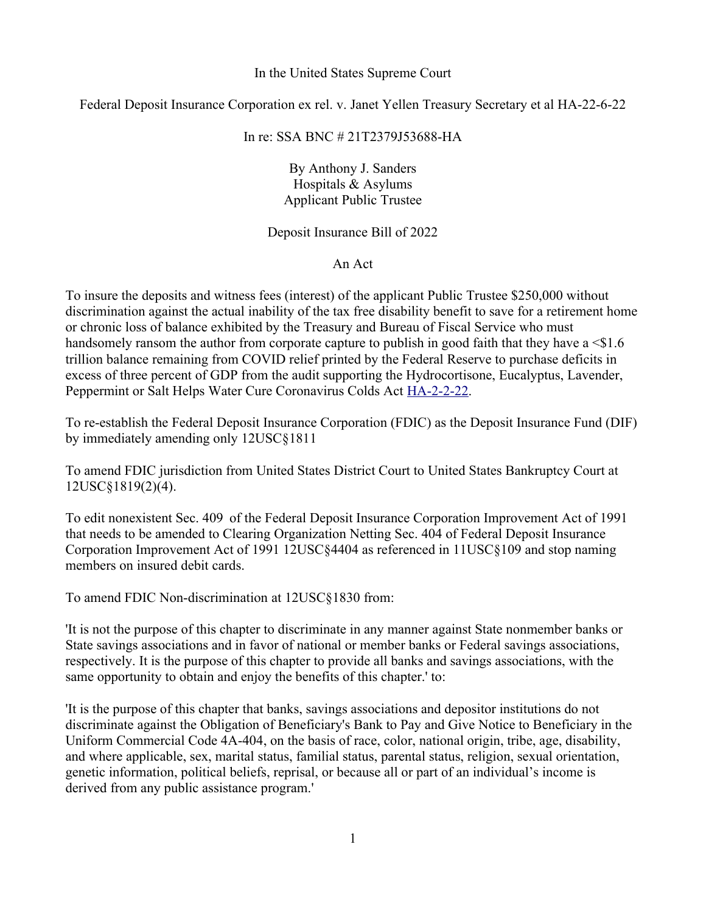## In the United States Supreme Court

Federal Deposit Insurance Corporation ex rel. v. Janet Yellen Treasury Secretary et al HA-22-6-22

# In re: SSA BNC # 21T2379J53688-HA

By Anthony J. Sanders Hospitals & Asylums Applicant Public Trustee

Deposit Insurance Bill of 2022

An Act

To insure the deposits and witness fees (interest) of the applicant Public Trustee \$250,000 without discrimination against the actual inability of the tax free disability benefit to save for a retirement home or chronic loss of balance exhibited by the Treasury and Bureau of Fiscal Service who must handsomely ransom the author from corporate capture to publish in good faith that they have a  $\leq 1.6$ trillion balance remaining from COVID relief printed by the Federal Reserve to purchase deficits in excess of three percent of GDP from the audit supporting the Hydrocortisone, Eucalyptus, Lavender, Peppermint or Salt Helps Water Cure Coronavirus Colds Act [HA-2-2-22.](file:///Users/anthonyj.sanders/Documents/www.title24uscode.org%2Fhelps.pdf)

To re-establish the Federal Deposit Insurance Corporation (FDIC) as the Deposit Insurance Fund (DIF) by immediately amending only 12USC§1811

To amend FDIC jurisdiction from United States District Court to United States Bankruptcy Court at 12USC§1819(2)(4).

To edit nonexistent Sec. 409  of the Federal Deposit Insurance Corporation Improvement Act of 1991 that needs to be amended to Clearing Organization Netting Sec. 404 of Federal Deposit Insurance Corporation Improvement Act of 1991 12USC§4404 as referenced in 11USC§109 and stop naming members on insured debit cards.

To amend FDIC Non-discrimination at 12USC§1830 from:

'It is not the purpose of this chapter to discriminate in any manner against State nonmember banks or State savings associations and in favor of national or member banks or Federal savings associations, respectively. It is the purpose of this chapter to provide all banks and savings associations, with the same opportunity to obtain and enjoy the benefits of this chapter.' to:

'It is the purpose of this chapter that banks, savings associations and depositor institutions do not discriminate against the Obligation of Beneficiary's Bank to Pay and Give Notice to Beneficiary in the Uniform Commercial Code 4A-404, on the basis of race, color, national origin, tribe, age, disability, and where applicable, sex, marital status, familial status, parental status, religion, sexual orientation, genetic information, political beliefs, reprisal, or because all or part of an individual's income is derived from any public assistance program.'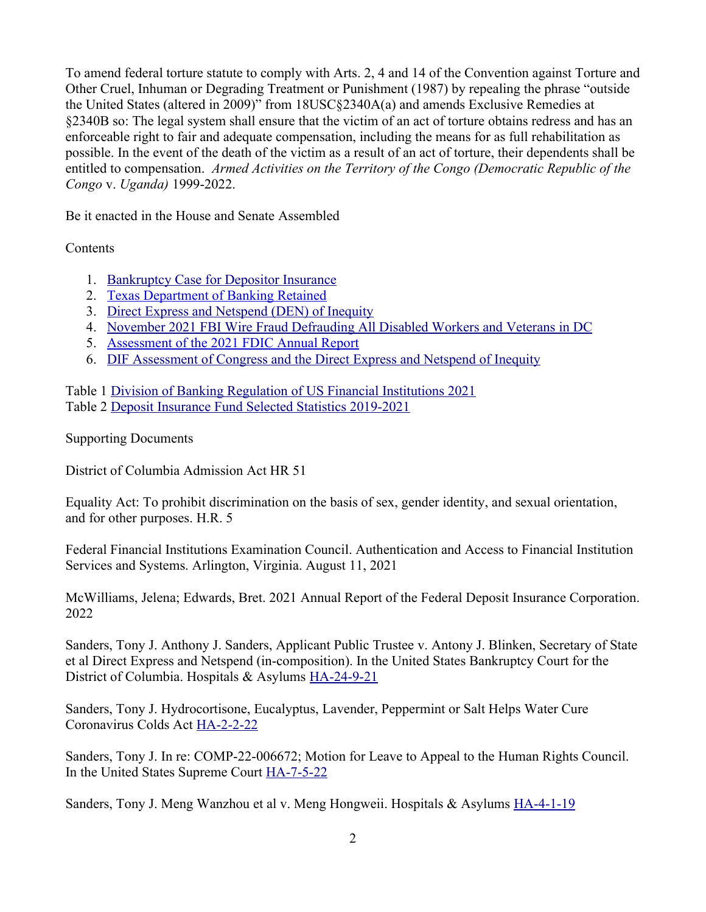To amend federal torture statute to comply with Arts. 2, 4 and 14 of the Convention against Torture and Other Cruel, Inhuman or Degrading Treatment or Punishment (1987) by repealing the phrase "outside the United States (altered in 2009)" from 18USC§2340A(a) and amends Exclusive Remedies at §2340B so: The legal system shall ensure that the victim of an act of torture obtains redress and has an enforceable right to fair and adequate compensation, including the means for as full rehabilitation as possible. In the event of the death of the victim as a result of an act of torture, their dependents shall be entitled to compensation. *Armed Activities on the Territory of the Congo (Democratic Republic of the Congo* v. *Uganda)* 1999-2022.

Be it enacted in the House and Senate Assembled

**Contents** 

- 1. [Bankruptcy Case for Depositor Insurance](#page-4-0)
- 2. [Texas Department of Banking Retained](#page-6-0)
- 3. [Direct Express and Netspend \(DEN\) of Inequity](#page-7-0)
- 4. [November 2021 FBI Wire Fraud Defrauding All Disabled Workers and Veterans in DC](#page-9-0)
- 5. [Assessment of the 2021 FDIC Annual Report](#page-12-0)
- 6. [DIF Assessment of Congress and the Direct Express and Netspend of Inequity](#page-23-0)

Table 1 [Division of Banking Regulation of US Financial Institutions 2021](#page-13-0) Table 2 [Deposit Insurance Fund Selected Statistics 2019-2021](#page-18-0)

Supporting Documents

District of Columbia Admission Act HR 51

Equality Act: To prohibit discrimination on the basis of sex, gender identity, and sexual orientation, and for other purposes. H.R. 5

Federal Financial Institutions Examination Council. Authentication and Access to Financial Institution Services and Systems. Arlington, Virginia. August 11, 2021

McWilliams, Jelena; Edwards, Bret. 2021 Annual Report of the Federal Deposit Insurance Corporation. 2022

Sanders, Tony J. Anthony J. Sanders, Applicant Public Trustee v. Antony J. Blinken, Secretary of State et al Direct Express and Netspend (in-composition). In the United States Bankruptcy Court for the District of Columbia. Hospitals & Asylums [HA-24-9-21](file:///Users/anthonyj.sanders/Documents/www.title24uscode.org%2Fnetspend.pdf)

Sanders, Tony J. Hydrocortisone, Eucalyptus, Lavender, Peppermint or Salt Helps Water Cure Coronavirus Colds Act [HA-2-2-22](file:///Users/anthonyj.sanders/Documents/www.title24uscode.org)

Sanders, Tony J. In re: COMP-22-006672; Motion for Leave to Appeal to the Human Rights Council. In the United States Supreme Court [HA-7-5-22](http://www.title24uscode.org/humanleave.pdf)

Sanders, Tony J. Meng Wanzhou et al v. Meng Hongweii. Hospitals & Asylums **HA-4-1-19**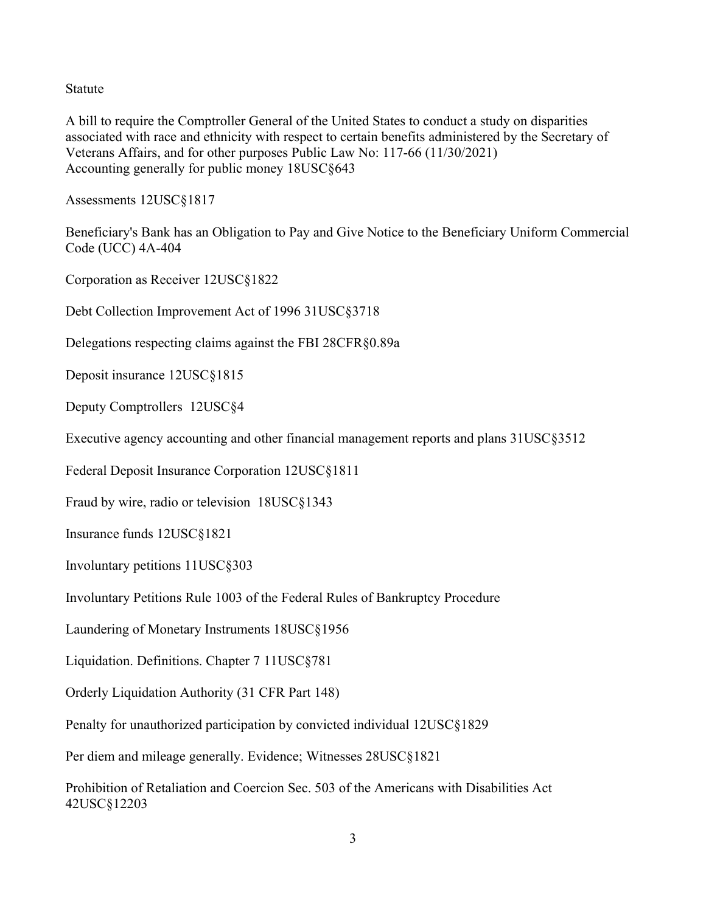Statute

A bill to require the Comptroller General of the United States to conduct a study on disparities associated with race and ethnicity with respect to certain benefits administered by the Secretary of Veterans Affairs, and for other purposes Public Law No: 117-66 (11/30/2021) Accounting generally for public money 18USC§643

Assessments 12USC§1817

Beneficiary's Bank has an Obligation to Pay and Give Notice to the Beneficiary Uniform Commercial Code (UCC) 4A-404

Corporation as Receiver 12USC§1822

Debt Collection Improvement Act of 1996 31USC§3718

Delegations respecting claims against the FBI 28CFR§0.89a

Deposit insurance 12USC§1815

Deputy Comptrollers 12USC§4

Executive agency accounting and other financial management reports and plans 31USC§3512

Federal Deposit Insurance Corporation 12USC§1811

Fraud by wire, radio or television 18USC§1343

Insurance funds 12USC§1821

Involuntary petitions 11USC§303

Involuntary Petitions Rule 1003 of the Federal Rules of Bankruptcy Procedure

Laundering of Monetary Instruments 18USC§1956

Liquidation. Definitions. Chapter 7 11USC§781

Orderly Liquidation Authority (31 CFR Part 148)

Penalty for unauthorized participation by convicted individual 12USC§1829

Per diem and mileage generally. Evidence; Witnesses 28USC§1821

Prohibition of Retaliation and Coercion Sec. 503 of the Americans with Disabilities Act 42USC§12203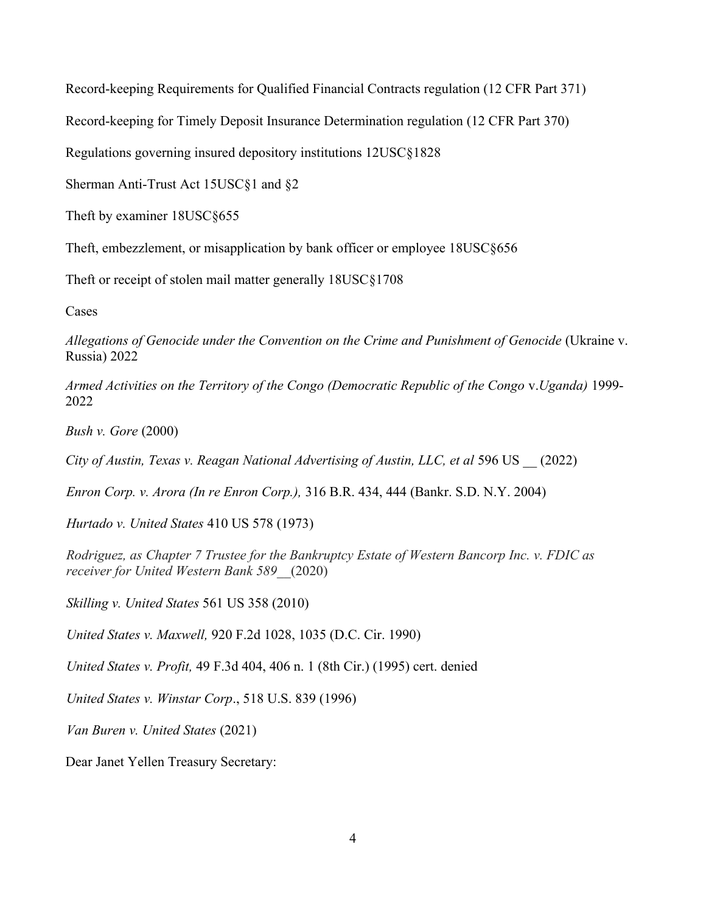Record-keeping Requirements for Qualified Financial Contracts regulation (12 CFR Part 371)

Record-keeping for Timely Deposit Insurance Determination regulation (12 CFR Part 370)

Regulations governing insured depository institutions 12USC§1828

Sherman Anti-Trust Act 15USC§1 and §2

Theft by examiner 18USC§655

Theft, embezzlement, or misapplication by bank officer or employee 18USC§656

Theft or receipt of stolen mail matter generally 18USC§1708

Cases

*Allegations of Genocide under the Convention on the Crime and Punishment of Genocide* (Ukraine v. Russia) 2022

*Armed Activities on the Territory of the Congo (Democratic Republic of the Congo* v.*Uganda)* 1999- 2022

*Bush v. Gore* (2000)

*City of Austin, Texas v. Reagan National Advertising of Austin, LLC, et al* 596 US \_\_ (2022)

*Enron Corp. v. Arora (In re Enron Corp.),* 316 B.R. 434, 444 (Bankr. S.D. N.Y. 2004)

*Hurtado v. United States* 410 US 578 (1973)

*Rodriguez, as Chapter 7 Trustee for the Bankruptcy Estate of Western Bancorp Inc. v. FDIC as receiver for United Western Bank 589\_\_*(2020)

*Skilling v. United States* 561 US 358 (2010)

*United States v. Maxwell,* 920 F.2d 1028, 1035 (D.C. Cir. 1990)

*United States v. Profit,* 49 F.3d 404, 406 n. 1 (8th Cir.) (1995) cert. denied

*United States v. Winstar Corp*., 518 U.S. 839 (1996)

*Van Buren v. United States* (2021)

Dear Janet Yellen Treasury Secretary: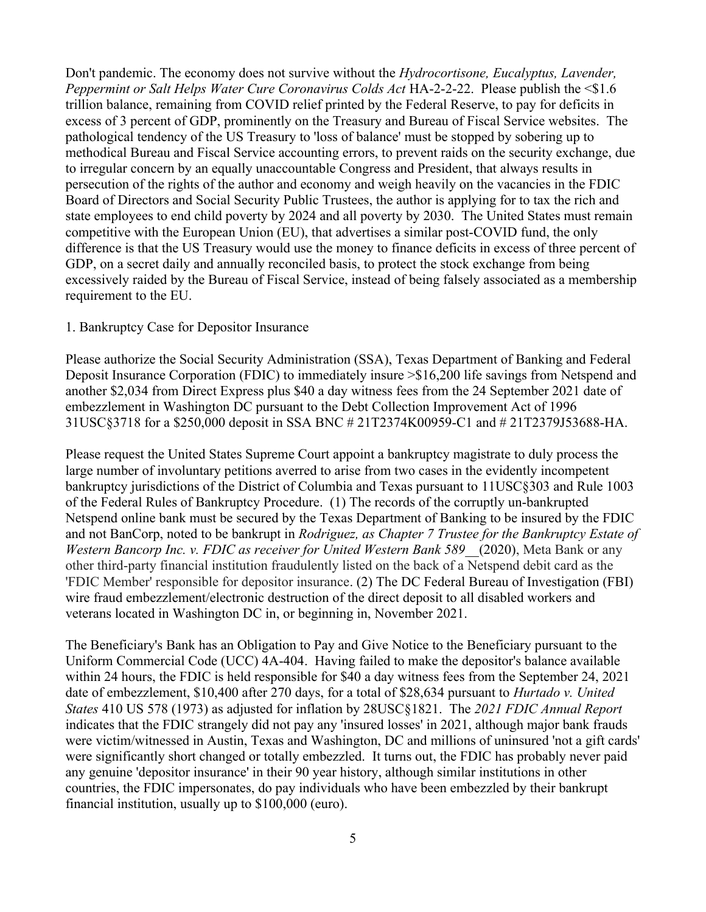Don't pandemic. The economy does not survive without the *Hydrocortisone, Eucalyptus, Lavender, Peppermint or Salt Helps Water Cure Coronavirus Colds Act* HA-2-2-22. Please publish the <\$1.6 trillion balance, remaining from COVID relief printed by the Federal Reserve, to pay for deficits in excess of 3 percent of GDP, prominently on the Treasury and Bureau of Fiscal Service websites. The pathological tendency of the US Treasury to 'loss of balance' must be stopped by sobering up to methodical Bureau and Fiscal Service accounting errors, to prevent raids on the security exchange, due to irregular concern by an equally unaccountable Congress and President, that always results in persecution of the rights of the author and economy and weigh heavily on the vacancies in the FDIC Board of Directors and Social Security Public Trustees, the author is applying for to tax the rich and state employees to end child poverty by 2024 and all poverty by 2030. The United States must remain competitive with the European Union (EU), that advertises a similar post-COVID fund, the only difference is that the US Treasury would use the money to finance deficits in excess of three percent of GDP, on a secret daily and annually reconciled basis, to protect the stock exchange from being excessively raided by the Bureau of Fiscal Service, instead of being falsely associated as a membership requirement to the EU.

#### <span id="page-4-0"></span>1. Bankruptcy Case for Depositor Insurance

Please authorize the Social Security Administration (SSA), Texas Department of Banking and Federal Deposit Insurance Corporation (FDIC) to immediately insure >\$16,200 life savings from Netspend and another \$2,034 from Direct Express plus \$40 a day witness fees from the 24 September 2021 date of embezzlement in Washington DC pursuant to the Debt Collection Improvement Act of 1996 31USC§3718 for a \$250,000 deposit in SSA BNC # 21T2374K00959-C1 and # 21T2379J53688-HA.

Please request the United States Supreme Court appoint a bankruptcy magistrate to duly process the large number of involuntary petitions averred to arise from two cases in the evidently incompetent bankruptcy jurisdictions of the District of Columbia and Texas pursuant to 11USC§303 and Rule 1003 of the Federal Rules of Bankruptcy Procedure. (1) The records of the corruptly un-bankrupted Netspend online bank must be secured by the Texas Department of Banking to be insured by the FDIC and not BanCorp, noted to be bankrupt in *Rodriguez, as Chapter 7 Trustee for the Bankruptcy Estate of Western Bancorp Inc. v. FDIC as receiver for United Western Bank 589\_\_*(2020), Meta Bank or any other third-party financial institution fraudulently listed on the back of a Netspend debit card as the 'FDIC Member' responsible for depositor insurance. (2) The DC Federal Bureau of Investigation (FBI) wire fraud embezzlement/electronic destruction of the direct deposit to all disabled workers and veterans located in Washington DC in, or beginning in, November 2021.

The Beneficiary's Bank has an Obligation to Pay and Give Notice to the Beneficiary pursuant to the Uniform Commercial Code (UCC) 4A-404. Having failed to make the depositor's balance available within 24 hours, the FDIC is held responsible for \$40 a day witness fees from the September 24, 2021 date of embezzlement, \$10,400 after 270 days, for a total of \$28,634 pursuant to *Hurtado v. United States* 410 US 578 (1973) as adjusted for inflation by 28USC§1821. The *2021 FDIC Annual Report* indicates that the FDIC strangely did not pay any 'insured losses' in 2021, although major bank frauds were victim/witnessed in Austin, Texas and Washington, DC and millions of uninsured 'not a gift cards' were significantly short changed or totally embezzled. It turns out, the FDIC has probably never paid any genuine 'depositor insurance' in their 90 year history, although similar institutions in other countries, the FDIC impersonates, do pay individuals who have been embezzled by their bankrupt financial institution, usually up to \$100,000 (euro).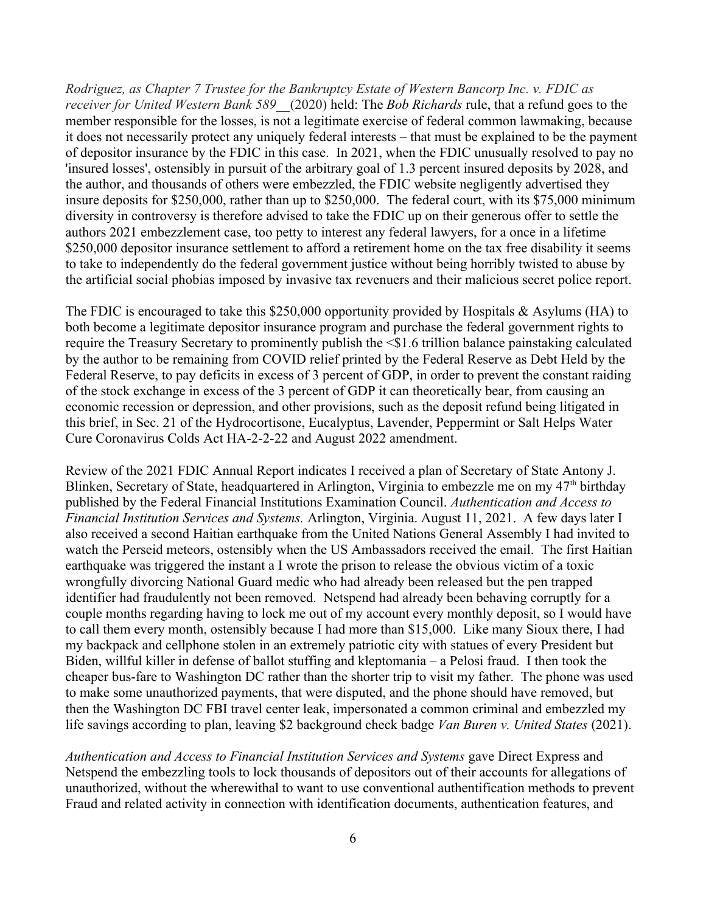*Rodriguez, as Chapter 7 Trustee for the Bankruptcy Estate of Western Bancorp Inc. v. FDIC as receiver for United Western Bank 589\_\_*(2020) held: The *Bob Richards* rule, that a refund goes to the member responsible for the losses, is not a legitimate exercise of federal common lawmaking, because it does not necessarily protect any uniquely federal interests – that must be explained to be the payment of depositor insurance by the FDIC in this case. In 2021, when the FDIC unusually resolved to pay no 'insured losses', ostensibly in pursuit of the arbitrary goal of 1.3 percent insured deposits by 2028, and the author, and thousands of others were embezzled, the FDIC website negligently advertised they insure deposits for \$250,000, rather than up to \$250,000. The federal court, with its \$75,000 minimum diversity in controversy is therefore advised to take the FDIC up on their generous offer to settle the authors 2021 embezzlement case, too petty to interest any federal lawyers, for a once in a lifetime \$250,000 depositor insurance settlement to afford a retirement home on the tax free disability it seems to take to independently do the federal government justice without being horribly twisted to abuse by the artificial social phobias imposed by invasive tax revenuers and their malicious secret police report.

The FDIC is encouraged to take this \$250,000 opportunity provided by Hospitals & Asylums (HA) to both become a legitimate depositor insurance program and purchase the federal government rights to require the Treasury Secretary to prominently publish the <\$1.6 trillion balance painstaking calculated by the author to be remaining from COVID relief printed by the Federal Reserve as Debt Held by the Federal Reserve, to pay deficits in excess of 3 percent of GDP, in order to prevent the constant raiding of the stock exchange in excess of the 3 percent of GDP it can theoretically bear, from causing an economic recession or depression, and other provisions, such as the deposit refund being litigated in this brief, in Sec. 21 of the Hydrocortisone, Eucalyptus, Lavender, Peppermint or Salt Helps Water Cure Coronavirus Colds Act HA-2-2-22 and August 2022 amendment.

Review of the 2021 FDIC Annual Report indicates I received a plan of Secretary of State Antony J. Blinken, Secretary of State, headquartered in Arlington, Virginia to embezzle me on my 47<sup>th</sup> birthday published by the Federal Financial Institutions Examination Council. *Authentication and Access to Financial Institution Services and Systems.* Arlington, Virginia. August 11, 2021. A few days later I also received a second Haitian earthquake from the United Nations General Assembly I had invited to watch the Perseid meteors, ostensibly when the US Ambassadors received the email. The first Haitian earthquake was triggered the instant a I wrote the prison to release the obvious victim of a toxic wrongfully divorcing National Guard medic who had already been released but the pen trapped identifier had fraudulently not been removed. Netspend had already been behaving corruptly for a couple months regarding having to lock me out of my account every monthly deposit, so I would have to call them every month, ostensibly because I had more than \$15,000. Like many Sioux there, I had my backpack and cellphone stolen in an extremely patriotic city with statues of every President but Biden, willful killer in defense of ballot stuffing and kleptomania – a Pelosi fraud. I then took the cheaper bus-fare to Washington DC rather than the shorter trip to visit my father. The phone was used to make some unauthorized payments, that were disputed, and the phone should have removed, but then the Washington DC FBI travel center leak, impersonated a common criminal and embezzled my life savings according to plan, leaving \$2 background check badge *Van Buren v. United States* (2021).

*Authentication and Access to Financial Institution Services and Systems* gave Direct Express and Netspend the embezzling tools to lock thousands of depositors out of their accounts for allegations of unauthorized, without the wherewithal to want to use conventional authentification methods to prevent Fraud and related activity in connection with identification documents, authentication features, and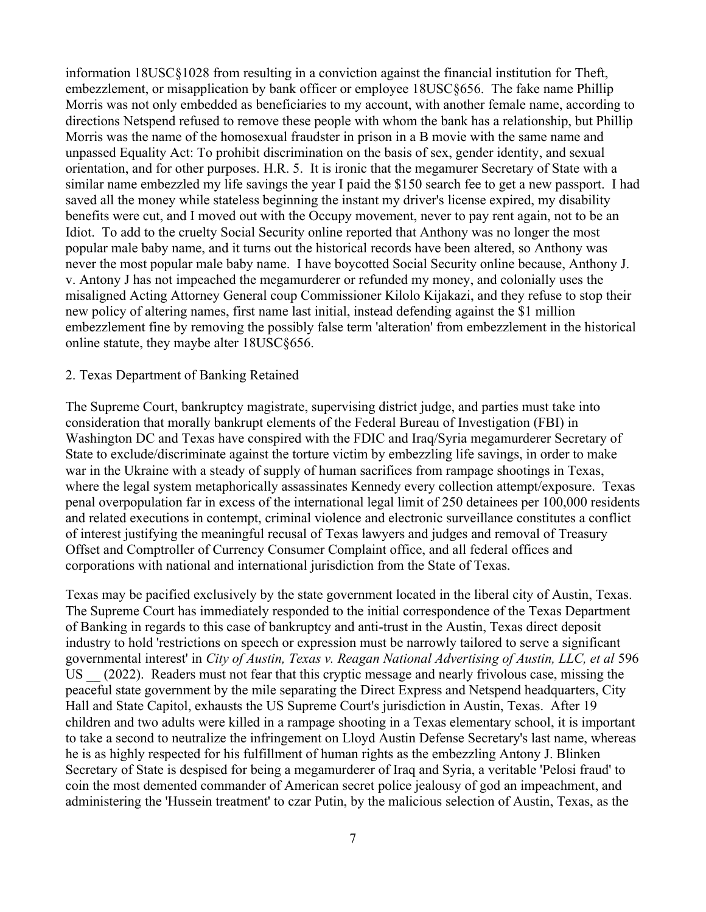information 18USC§1028 from resulting in a conviction against the financial institution for Theft, embezzlement, or misapplication by bank officer or employee 18USC§656. The fake name Phillip Morris was not only embedded as beneficiaries to my account, with another female name, according to directions Netspend refused to remove these people with whom the bank has a relationship, but Phillip Morris was the name of the homosexual fraudster in prison in a B movie with the same name and unpassed Equality Act: To prohibit discrimination on the basis of sex, gender identity, and sexual orientation, and for other purposes. H.R. 5. It is ironic that the megamurer Secretary of State with a similar name embezzled my life savings the year I paid the \$150 search fee to get a new passport. I had saved all the money while stateless beginning the instant my driver's license expired, my disability benefits were cut, and I moved out with the Occupy movement, never to pay rent again, not to be an Idiot. To add to the cruelty Social Security online reported that Anthony was no longer the most popular male baby name, and it turns out the historical records have been altered, so Anthony was never the most popular male baby name. I have boycotted Social Security online because, Anthony J. v. Antony J has not impeached the megamurderer or refunded my money, and colonially uses the misaligned Acting Attorney General coup Commissioner Kilolo Kijakazi, and they refuse to stop their new policy of altering names, first name last initial, instead defending against the \$1 million embezzlement fine by removing the possibly false term 'alteration' from embezzlement in the historical online statute, they maybe alter 18USC§656.

## <span id="page-6-0"></span>2. Texas Department of Banking Retained

The Supreme Court, bankruptcy magistrate, supervising district judge, and parties must take into consideration that morally bankrupt elements of the Federal Bureau of Investigation (FBI) in Washington DC and Texas have conspired with the FDIC and Iraq/Syria megamurderer Secretary of State to exclude/discriminate against the torture victim by embezzling life savings, in order to make war in the Ukraine with a steady of supply of human sacrifices from rampage shootings in Texas, where the legal system metaphorically assassinates Kennedy every collection attempt/exposure. Texas penal overpopulation far in excess of the international legal limit of 250 detainees per 100,000 residents and related executions in contempt, criminal violence and electronic surveillance constitutes a conflict of interest justifying the meaningful recusal of Texas lawyers and judges and removal of Treasury Offset and Comptroller of Currency Consumer Complaint office, and all federal offices and corporations with national and international jurisdiction from the State of Texas.

Texas may be pacified exclusively by the state government located in the liberal city of Austin, Texas. The Supreme Court has immediately responded to the initial correspondence of the Texas Department of Banking in regards to this case of bankruptcy and anti-trust in the Austin, Texas direct deposit industry to hold 'restrictions on speech or expression must be narrowly tailored to serve a significant governmental interest' in *City of Austin, Texas v. Reagan National Advertising of Austin, LLC, et al* 596 US (2022). Readers must not fear that this cryptic message and nearly frivolous case, missing the peaceful state government by the mile separating the Direct Express and Netspend headquarters, City Hall and State Capitol, exhausts the US Supreme Court's jurisdiction in Austin, Texas. After 19 children and two adults were killed in a rampage shooting in a Texas elementary school, it is important to take a second to neutralize the infringement on Lloyd Austin Defense Secretary's last name, whereas he is as highly respected for his fulfillment of human rights as the embezzling Antony J. Blinken Secretary of State is despised for being a megamurderer of Iraq and Syria, a veritable 'Pelosi fraud' to coin the most demented commander of American secret police jealousy of god an impeachment, and administering the 'Hussein treatment' to czar Putin, by the malicious selection of Austin, Texas, as the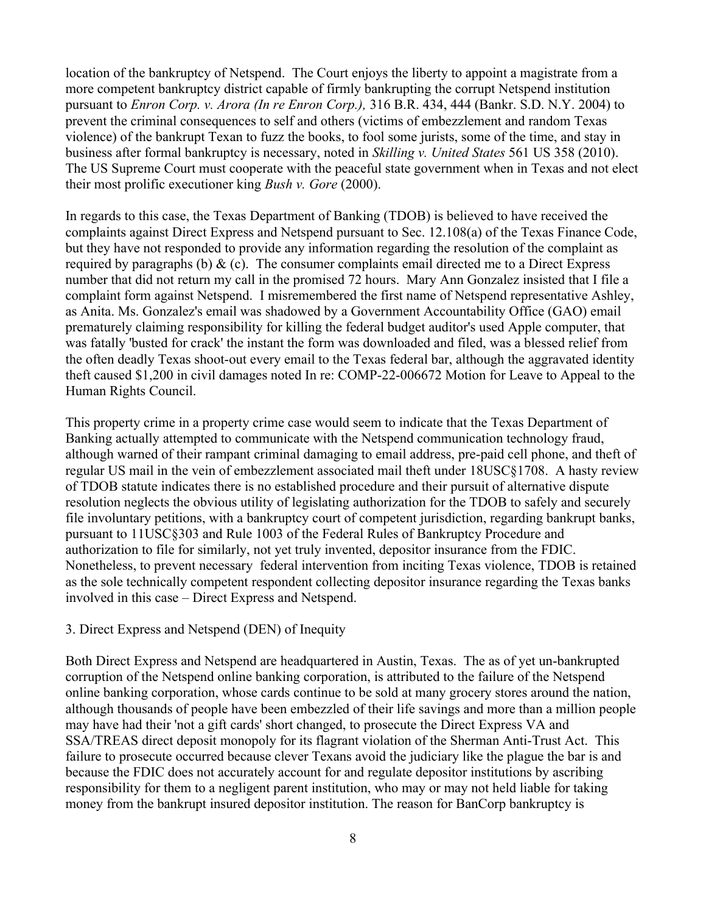location of the bankruptcy of Netspend. The Court enjoys the liberty to appoint a magistrate from a more competent bankruptcy district capable of firmly bankrupting the corrupt Netspend institution pursuant to *Enron Corp. v. Arora (In re Enron Corp.),* 316 B.R. 434, 444 (Bankr. S.D. N.Y. 2004) to prevent the criminal consequences to self and others (victims of embezzlement and random Texas violence) of the bankrupt Texan to fuzz the books, to fool some jurists, some of the time, and stay in business after formal bankruptcy is necessary, noted in *Skilling v. United States* 561 US 358 (2010). The US Supreme Court must cooperate with the peaceful state government when in Texas and not elect their most prolific executioner king *Bush v. Gore* (2000).

In regards to this case, the Texas Department of Banking (TDOB) is believed to have received the complaints against Direct Express and Netspend pursuant to Sec. 12.108(a) of the Texas Finance Code, but they have not responded to provide any information regarding the resolution of the complaint as required by paragraphs (b)  $\&$  (c). The consumer complaints email directed me to a Direct Express number that did not return my call in the promised 72 hours. Mary Ann Gonzalez insisted that I file a complaint form against Netspend. I misremembered the first name of Netspend representative Ashley, as Anita. Ms. Gonzalez's email was shadowed by a Government Accountability Office (GAO) email prematurely claiming responsibility for killing the federal budget auditor's used Apple computer, that was fatally 'busted for crack' the instant the form was downloaded and filed, was a blessed relief from the often deadly Texas shoot-out every email to the Texas federal bar, although the aggravated identity theft caused \$1,200 in civil damages noted In re: COMP-22-006672 Motion for Leave to Appeal to the Human Rights Council.

This property crime in a property crime case would seem to indicate that the Texas Department of Banking actually attempted to communicate with the Netspend communication technology fraud, although warned of their rampant criminal damaging to email address, pre-paid cell phone, and theft of regular US mail in the vein of embezzlement associated mail theft under 18USC§1708. A hasty review of TDOB statute indicates there is no established procedure and their pursuit of alternative dispute resolution neglects the obvious utility of legislating authorization for the TDOB to safely and securely file involuntary petitions, with a bankruptcy court of competent jurisdiction, regarding bankrupt banks, pursuant to 11USC§303 and Rule 1003 of the Federal Rules of Bankruptcy Procedure and authorization to file for similarly, not yet truly invented, depositor insurance from the FDIC. Nonetheless, to prevent necessary federal intervention from inciting Texas violence, TDOB is retained as the sole technically competent respondent collecting depositor insurance regarding the Texas banks involved in this case – Direct Express and Netspend.

#### <span id="page-7-0"></span>3. Direct Express and Netspend (DEN) of Inequity

Both Direct Express and Netspend are headquartered in Austin, Texas. The as of yet un-bankrupted corruption of the Netspend online banking corporation, is attributed to the failure of the Netspend online banking corporation, whose cards continue to be sold at many grocery stores around the nation, although thousands of people have been embezzled of their life savings and more than a million people may have had their 'not a gift cards' short changed, to prosecute the Direct Express VA and SSA/TREAS direct deposit monopoly for its flagrant violation of the Sherman Anti-Trust Act. This failure to prosecute occurred because clever Texans avoid the judiciary like the plague the bar is and because the FDIC does not accurately account for and regulate depositor institutions by ascribing responsibility for them to a negligent parent institution, who may or may not held liable for taking money from the bankrupt insured depositor institution. The reason for BanCorp bankruptcy is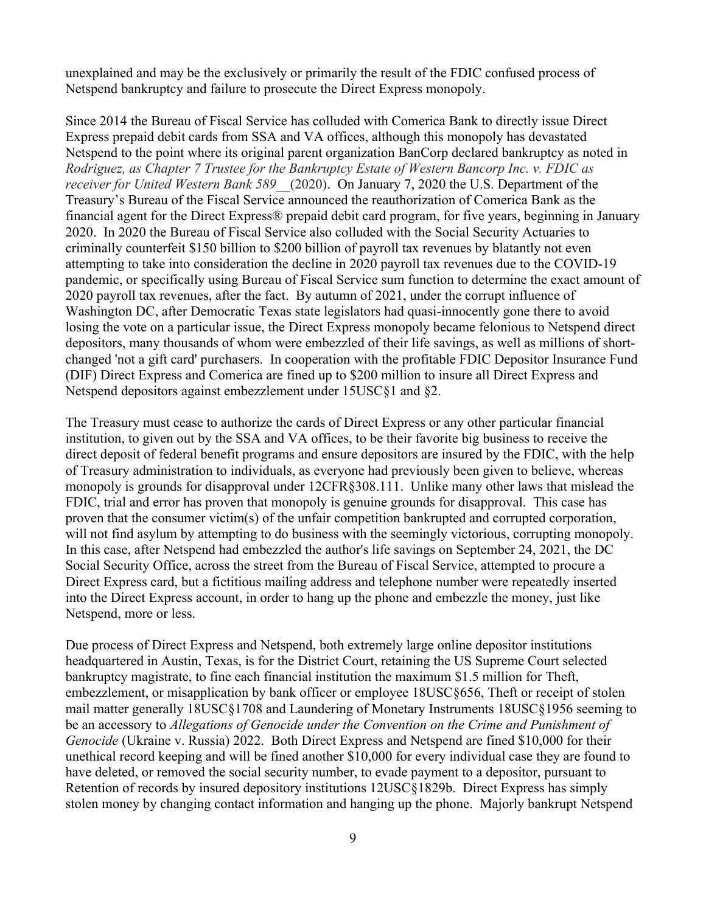unexplained and may be the exclusively or primarily the result of the FDIC confused process of Netspend bankruptcy and failure to prosecute the Direct Express monopoly.

Since 2014 the Bureau of Fiscal Service has colluded with Comerica Bank to directly issue Direct Express prepaid debit cards from SSA and VA offices, although this monopoly has devastated Netspend to the point where its original parent organization BanCorp declared bankruptcy as noted in *Rodriguez, as Chapter 7 Trustee for the Bankruptcy Estate of Western Bancorp Inc. v. FDIC as receiver for United Western Bank 589\_\_*(2020). On January 7, 2020 the U.S. Department of the Treasury's Bureau of the Fiscal Service announced the reauthorization of Comerica Bank as the financial agent for the Direct Express® prepaid debit card program, for five years, beginning in January 2020. In 2020 the Bureau of Fiscal Service also colluded with the Social Security Actuaries to criminally counterfeit \$150 billion to \$200 billion of payroll tax revenues by blatantly not even attempting to take into consideration the decline in 2020 payroll tax revenues due to the COVID-19 pandemic, or specifically using Bureau of Fiscal Service sum function to determine the exact amount of 2020 payroll tax revenues, after the fact. By autumn of 2021, under the corrupt influence of Washington DC, after Democratic Texas state legislators had quasi-innocently gone there to avoid losing the vote on a particular issue, the Direct Express monopoly became felonious to Netspend direct depositors, many thousands of whom were embezzled of their life savings, as well as millions of shortchanged 'not a gift card' purchasers. In cooperation with the profitable FDIC Depositor Insurance Fund (DIF) Direct Express and Comerica are fined up to \$200 million to insure all Direct Express and Netspend depositors against embezzlement under 15USC§1 and §2.

The Treasury must cease to authorize the cards of Direct Express or any other particular financial institution, to given out by the SSA and VA offices, to be their favorite big business to receive the direct deposit of federal benefit programs and ensure depositors are insured by the FDIC, with the help of Treasury administration to individuals, as everyone had previously been given to believe, whereas monopoly is grounds for disapproval under 12CFR§308.111. Unlike many other laws that mislead the FDIC, trial and error has proven that monopoly is genuine grounds for disapproval. This case has proven that the consumer victim(s) of the unfair competition bankrupted and corrupted corporation, will not find asylum by attempting to do business with the seemingly victorious, corrupting monopoly. In this case, after Netspend had embezzled the author's life savings on September 24, 2021, the DC Social Security Office, across the street from the Bureau of Fiscal Service, attempted to procure a Direct Express card, but a fictitious mailing address and telephone number were repeatedly inserted into the Direct Express account, in order to hang up the phone and embezzle the money, just like Netspend, more or less.

Due process of Direct Express and Netspend, both extremely large online depositor institutions headquartered in Austin, Texas, is for the District Court, retaining the US Supreme Court selected bankruptcy magistrate, to fine each financial institution the maximum \$1.5 million for Theft, embezzlement, or misapplication by bank officer or employee 18USC§656, Theft or receipt of stolen mail matter generally 18USC§1708 and Laundering of Monetary Instruments 18USC§1956 seeming to be an accessory to *Allegations of Genocide under the Convention on the Crime and Punishment of Genocide* (Ukraine v. Russia) 2022. Both Direct Express and Netspend are fined \$10,000 for their unethical record keeping and will be fined another \$10,000 for every individual case they are found to have deleted, or removed the social security number, to evade payment to a depositor, pursuant to Retention of records by insured depository institutions 12USC§1829b. Direct Express has simply stolen money by changing contact information and hanging up the phone. Majorly bankrupt Netspend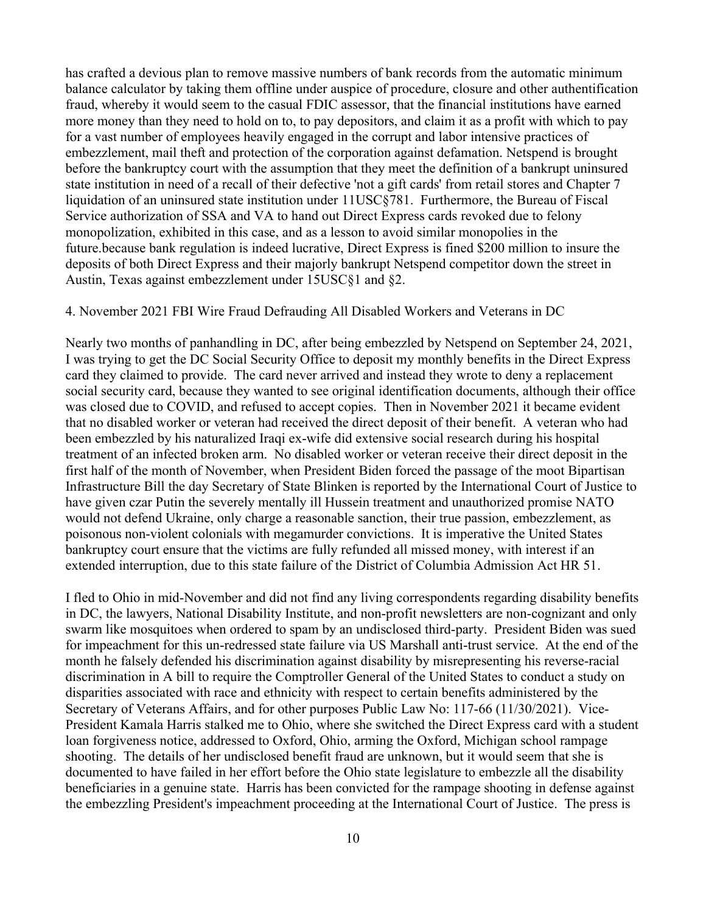has crafted a devious plan to remove massive numbers of bank records from the automatic minimum balance calculator by taking them offline under auspice of procedure, closure and other authentification fraud, whereby it would seem to the casual FDIC assessor, that the financial institutions have earned more money than they need to hold on to, to pay depositors, and claim it as a profit with which to pay for a vast number of employees heavily engaged in the corrupt and labor intensive practices of embezzlement, mail theft and protection of the corporation against defamation. Netspend is brought before the bankruptcy court with the assumption that they meet the definition of a bankrupt uninsured state institution in need of a recall of their defective 'not a gift cards' from retail stores and Chapter 7 liquidation of an uninsured state institution under 11USC§781. Furthermore, the Bureau of Fiscal Service authorization of SSA and VA to hand out Direct Express cards revoked due to felony monopolization, exhibited in this case, and as a lesson to avoid similar monopolies in the future.because bank regulation is indeed lucrative, Direct Express is fined \$200 million to insure the deposits of both Direct Express and their majorly bankrupt Netspend competitor down the street in Austin, Texas against embezzlement under 15USC§1 and §2.

## <span id="page-9-0"></span>4. November 2021 FBI Wire Fraud Defrauding All Disabled Workers and Veterans in DC

Nearly two months of panhandling in DC, after being embezzled by Netspend on September 24, 2021, I was trying to get the DC Social Security Office to deposit my monthly benefits in the Direct Express card they claimed to provide. The card never arrived and instead they wrote to deny a replacement social security card, because they wanted to see original identification documents, although their office was closed due to COVID, and refused to accept copies. Then in November 2021 it became evident that no disabled worker or veteran had received the direct deposit of their benefit. A veteran who had been embezzled by his naturalized Iraqi ex-wife did extensive social research during his hospital treatment of an infected broken arm. No disabled worker or veteran receive their direct deposit in the first half of the month of November, when President Biden forced the passage of the moot Bipartisan Infrastructure Bill the day Secretary of State Blinken is reported by the International Court of Justice to have given czar Putin the severely mentally ill Hussein treatment and unauthorized promise NATO would not defend Ukraine, only charge a reasonable sanction, their true passion, embezzlement, as poisonous non-violent colonials with megamurder convictions. It is imperative the United States bankruptcy court ensure that the victims are fully refunded all missed money, with interest if an extended interruption, due to this state failure of the District of Columbia Admission Act HR 51.

I fled to Ohio in mid-November and did not find any living correspondents regarding disability benefits in DC, the lawyers, National Disability Institute, and non-profit newsletters are non-cognizant and only swarm like mosquitoes when ordered to spam by an undisclosed third-party. President Biden was sued for impeachment for this un-redressed state failure via US Marshall anti-trust service. At the end of the month he falsely defended his discrimination against disability by misrepresenting his reverse-racial discrimination in A bill to require the Comptroller General of the United States to conduct a study on disparities associated with race and ethnicity with respect to certain benefits administered by the Secretary of Veterans Affairs, and for other purposes Public Law No: 117-66 (11/30/2021). Vice-President Kamala Harris stalked me to Ohio, where she switched the Direct Express card with a student loan forgiveness notice, addressed to Oxford, Ohio, arming the Oxford, Michigan school rampage shooting. The details of her undisclosed benefit fraud are unknown, but it would seem that she is documented to have failed in her effort before the Ohio state legislature to embezzle all the disability beneficiaries in a genuine state. Harris has been convicted for the rampage shooting in defense against the embezzling President's impeachment proceeding at the International Court of Justice. The press is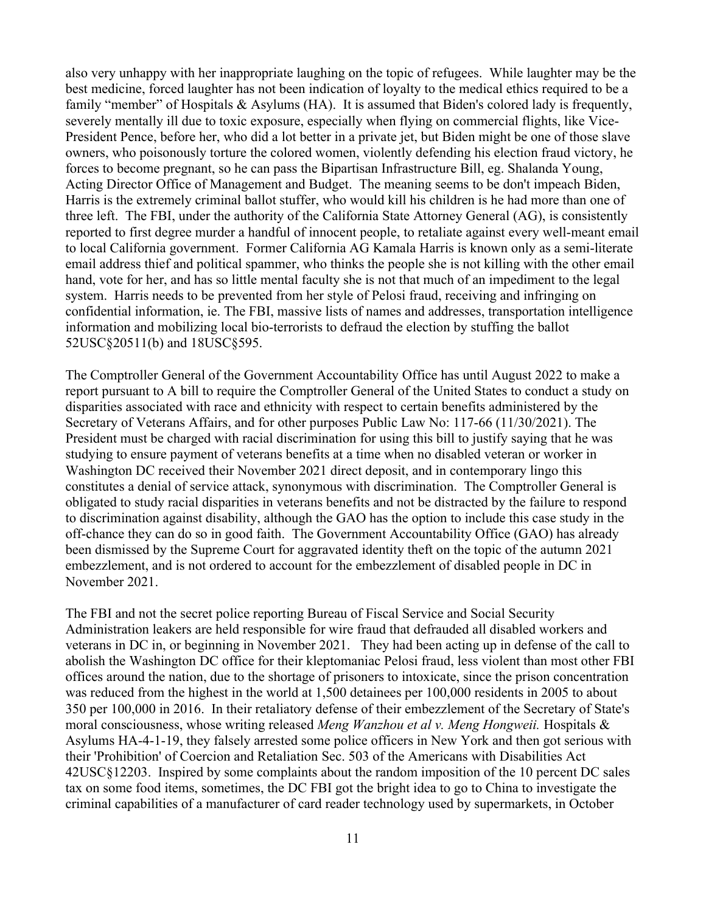also very unhappy with her inappropriate laughing on the topic of refugees. While laughter may be the best medicine, forced laughter has not been indication of loyalty to the medical ethics required to be a family "member" of Hospitals & Asylums (HA). It is assumed that Biden's colored lady is frequently, severely mentally ill due to toxic exposure, especially when flying on commercial flights, like Vice-President Pence, before her, who did a lot better in a private jet, but Biden might be one of those slave owners, who poisonously torture the colored women, violently defending his election fraud victory, he forces to become pregnant, so he can pass the Bipartisan Infrastructure Bill, eg. Shalanda Young, Acting Director Office of Management and Budget. The meaning seems to be don't impeach Biden, Harris is the extremely criminal ballot stuffer, who would kill his children is he had more than one of three left. The FBI, under the authority of the California State Attorney General (AG), is consistently reported to first degree murder a handful of innocent people, to retaliate against every well-meant email to local California government. Former California AG Kamala Harris is known only as a semi-literate email address thief and political spammer, who thinks the people she is not killing with the other email hand, vote for her, and has so little mental faculty she is not that much of an impediment to the legal system. Harris needs to be prevented from her style of Pelosi fraud, receiving and infringing on confidential information, ie. The FBI, massive lists of names and addresses, transportation intelligence information and mobilizing local bio-terrorists to defraud the election by stuffing the ballot 52USC§20511(b) and 18USC§595.

The Comptroller General of the Government Accountability Office has until August 2022 to make a report pursuant to A bill to require the Comptroller General of the United States to conduct a study on disparities associated with race and ethnicity with respect to certain benefits administered by the Secretary of Veterans Affairs, and for other purposes Public Law No: 117-66 (11/30/2021). The President must be charged with racial discrimination for using this bill to justify saying that he was studying to ensure payment of veterans benefits at a time when no disabled veteran or worker in Washington DC received their November 2021 direct deposit, and in contemporary lingo this constitutes a denial of service attack, synonymous with discrimination. The Comptroller General is obligated to study racial disparities in veterans benefits and not be distracted by the failure to respond to discrimination against disability, although the GAO has the option to include this case study in the off-chance they can do so in good faith. The Government Accountability Office (GAO) has already been dismissed by the Supreme Court for aggravated identity theft on the topic of the autumn 2021 embezzlement, and is not ordered to account for the embezzlement of disabled people in DC in November 2021.

The FBI and not the secret police reporting Bureau of Fiscal Service and Social Security Administration leakers are held responsible for wire fraud that defrauded all disabled workers and veterans in DC in, or beginning in November 2021. They had been acting up in defense of the call to abolish the Washington DC office for their kleptomaniac Pelosi fraud, less violent than most other FBI offices around the nation, due to the shortage of prisoners to intoxicate, since the prison concentration was reduced from the highest in the world at 1,500 detainees per 100,000 residents in 2005 to about 350 per 100,000 in 2016. In their retaliatory defense of their embezzlement of the Secretary of State's moral consciousness, whose writing released *Meng Wanzhou et al v. Meng Hongweii.* Hospitals & Asylums HA-4-1-19, they falsely arrested some police officers in New York and then got serious with their 'Prohibition' of Coercion and Retaliation Sec. 503 of the Americans with Disabilities Act 42USC§12203. Inspired by some complaints about the random imposition of the 10 percent DC sales tax on some food items, sometimes, the DC FBI got the bright idea to go to China to investigate the criminal capabilities of a manufacturer of card reader technology used by supermarkets, in October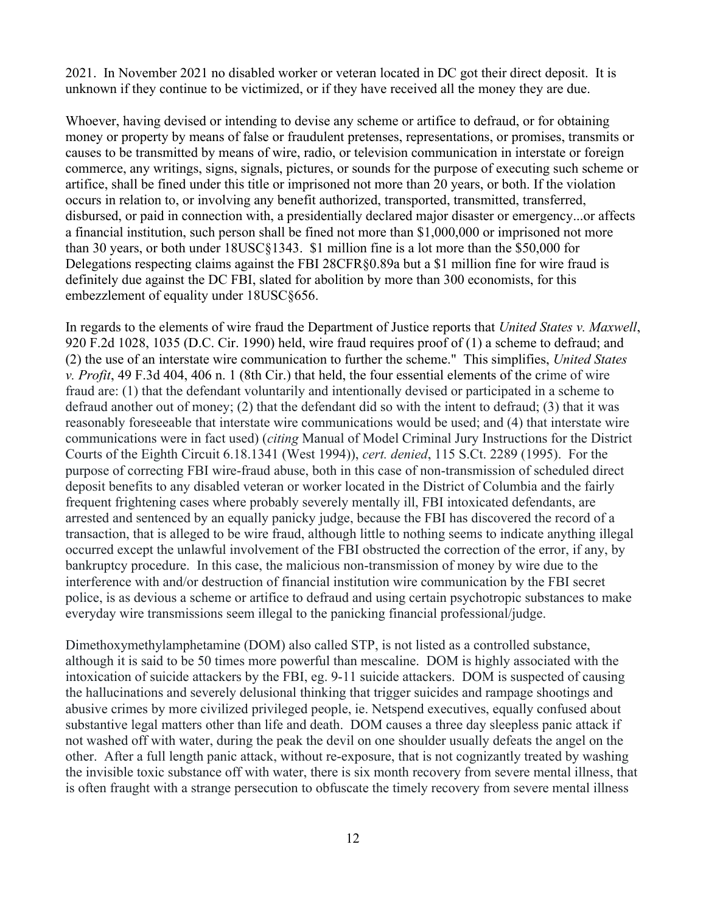2021. In November 2021 no disabled worker or veteran located in DC got their direct deposit. It is unknown if they continue to be victimized, or if they have received all the money they are due.

Whoever, having devised or intending to devise any scheme or artifice to defraud, or for obtaining money or property by means of false or fraudulent pretenses, representations, or promises, transmits or causes to be transmitted by means of wire, radio, or television communication in interstate or foreign commerce, any writings, signs, signals, pictures, or sounds for the purpose of executing such scheme or artifice, shall be fined under this title or imprisoned not more than 20 years, or both. If the violation occurs in relation to, or involving any benefit authorized, transported, transmitted, transferred, disbursed, or paid in connection with, a presidentially declared major disaster or emergency...or affects a financial institution, such person shall be fined not more than \$1,000,000 or imprisoned not more than 30 years, or both under 18USC§1343. \$1 million fine is a lot more than the \$50,000 for Delegations respecting claims against the FBI 28CFR§0.89a but a \$1 million fine for wire fraud is definitely due against the DC FBI, slated for abolition by more than 300 economists, for this embezzlement of equality under 18USC§656.

In regards to the elements of wire fraud the Department of Justice reports that *United States v. Maxwell*, 920 F.2d 1028, 1035 (D.C. Cir. 1990) held, wire fraud requires proof of (1) a scheme to defraud; and (2) the use of an interstate wire communication to further the scheme." This simplifies, *United States v. Profit*, 49 F.3d 404, 406 n. 1 (8th Cir.) that held, the four essential elements of the crime of wire fraud are: (1) that the defendant voluntarily and intentionally devised or participated in a scheme to defraud another out of money; (2) that the defendant did so with the intent to defraud; (3) that it was reasonably foreseeable that interstate wire communications would be used; and (4) that interstate wire communications were in fact used) (*citing* Manual of Model Criminal Jury Instructions for the District Courts of the Eighth Circuit 6.18.1341 (West 1994)), *cert. denied*, 115 S.Ct. 2289 (1995). For the purpose of correcting FBI wire-fraud abuse, both in this case of non-transmission of scheduled direct deposit benefits to any disabled veteran or worker located in the District of Columbia and the fairly frequent frightening cases where probably severely mentally ill, FBI intoxicated defendants, are arrested and sentenced by an equally panicky judge, because the FBI has discovered the record of a transaction, that is alleged to be wire fraud, although little to nothing seems to indicate anything illegal occurred except the unlawful involvement of the FBI obstructed the correction of the error, if any, by bankruptcy procedure. In this case, the malicious non-transmission of money by wire due to the interference with and/or destruction of financial institution wire communication by the FBI secret police, is as devious a scheme or artifice to defraud and using certain psychotropic substances to make everyday wire transmissions seem illegal to the panicking financial professional/judge.

Dimethoxymethylamphetamine (DOM) also called STP, is not listed as a controlled substance, although it is said to be 50 times more powerful than mescaline. DOM is highly associated with the intoxication of suicide attackers by the FBI, eg. 9-11 suicide attackers. DOM is suspected of causing the hallucinations and severely delusional thinking that trigger suicides and rampage shootings and abusive crimes by more civilized privileged people, ie. Netspend executives, equally confused about substantive legal matters other than life and death. DOM causes a three day sleepless panic attack if not washed off with water, during the peak the devil on one shoulder usually defeats the angel on the other. After a full length panic attack, without re-exposure, that is not cognizantly treated by washing the invisible toxic substance off with water, there is six month recovery from severe mental illness, that is often fraught with a strange persecution to obfuscate the timely recovery from severe mental illness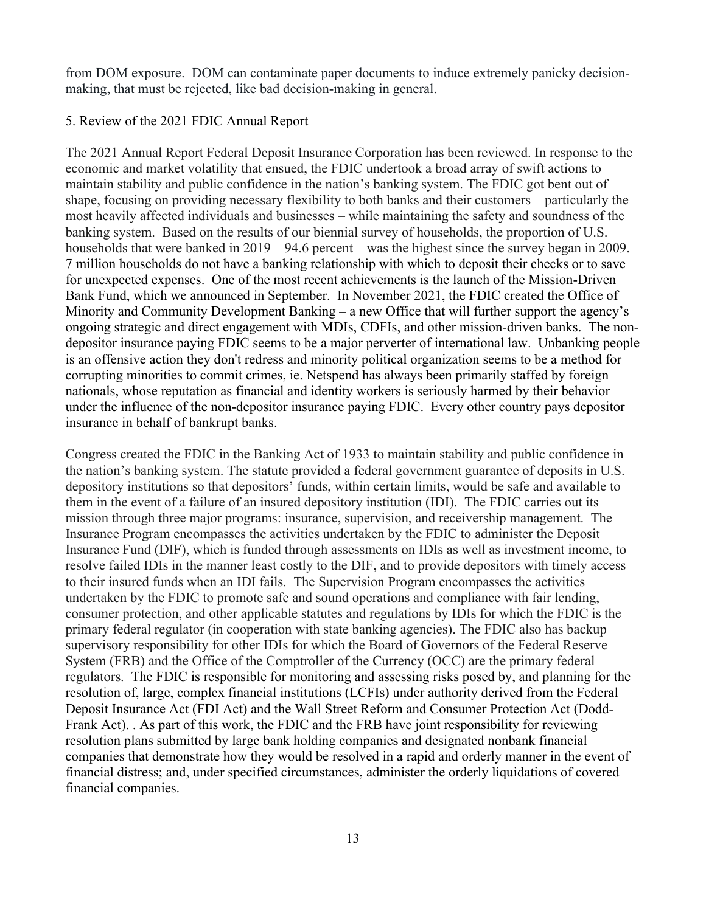from DOM exposure. DOM can contaminate paper documents to induce extremely panicky decisionmaking, that must be rejected, like bad decision-making in general.

# <span id="page-12-0"></span>5. Review of the 2021 FDIC Annual Report

The 2021 Annual Report Federal Deposit Insurance Corporation has been reviewed. In response to the economic and market volatility that ensued, the FDIC undertook a broad array of swift actions to maintain stability and public confidence in the nation's banking system. The FDIC got bent out of shape, focusing on providing necessary flexibility to both banks and their customers – particularly the most heavily affected individuals and businesses – while maintaining the safety and soundness of the banking system. Based on the results of our biennial survey of households, the proportion of U.S. households that were banked in 2019 – 94.6 percent – was the highest since the survey began in 2009. 7 million households do not have a banking relationship with which to deposit their checks or to save for unexpected expenses. One of the most recent achievements is the launch of the Mission-Driven Bank Fund, which we announced in September. In November 2021, the FDIC created the Office of Minority and Community Development Banking – a new Office that will further support the agency's ongoing strategic and direct engagement with MDIs, CDFIs, and other mission-driven banks. The nondepositor insurance paying FDIC seems to be a major perverter of international law. Unbanking people is an offensive action they don't redress and minority political organization seems to be a method for corrupting minorities to commit crimes, ie. Netspend has always been primarily staffed by foreign nationals, whose reputation as financial and identity workers is seriously harmed by their behavior under the influence of the non-depositor insurance paying FDIC. Every other country pays depositor insurance in behalf of bankrupt banks.

Congress created the FDIC in the Banking Act of 1933 to maintain stability and public confidence in the nation's banking system. The statute provided a federal government guarantee of deposits in U.S. depository institutions so that depositors' funds, within certain limits, would be safe and available to them in the event of a failure of an insured depository institution (IDI). The FDIC carries out its mission through three major programs: insurance, supervision, and receivership management. The Insurance Program encompasses the activities undertaken by the FDIC to administer the Deposit Insurance Fund (DIF), which is funded through assessments on IDIs as well as investment income, to resolve failed IDIs in the manner least costly to the DIF, and to provide depositors with timely access to their insured funds when an IDI fails. The Supervision Program encompasses the activities undertaken by the FDIC to promote safe and sound operations and compliance with fair lending, consumer protection, and other applicable statutes and regulations by IDIs for which the FDIC is the primary federal regulator (in cooperation with state banking agencies). The FDIC also has backup supervisory responsibility for other IDIs for which the Board of Governors of the Federal Reserve System (FRB) and the Office of the Comptroller of the Currency (OCC) are the primary federal regulators. The FDIC is responsible for monitoring and assessing risks posed by, and planning for the resolution of, large, complex financial institutions (LCFIs) under authority derived from the Federal Deposit Insurance Act (FDI Act) and the Wall Street Reform and Consumer Protection Act (Dodd-Frank Act). . As part of this work, the FDIC and the FRB have joint responsibility for reviewing resolution plans submitted by large bank holding companies and designated nonbank financial companies that demonstrate how they would be resolved in a rapid and orderly manner in the event of financial distress; and, under specified circumstances, administer the orderly liquidations of covered financial companies.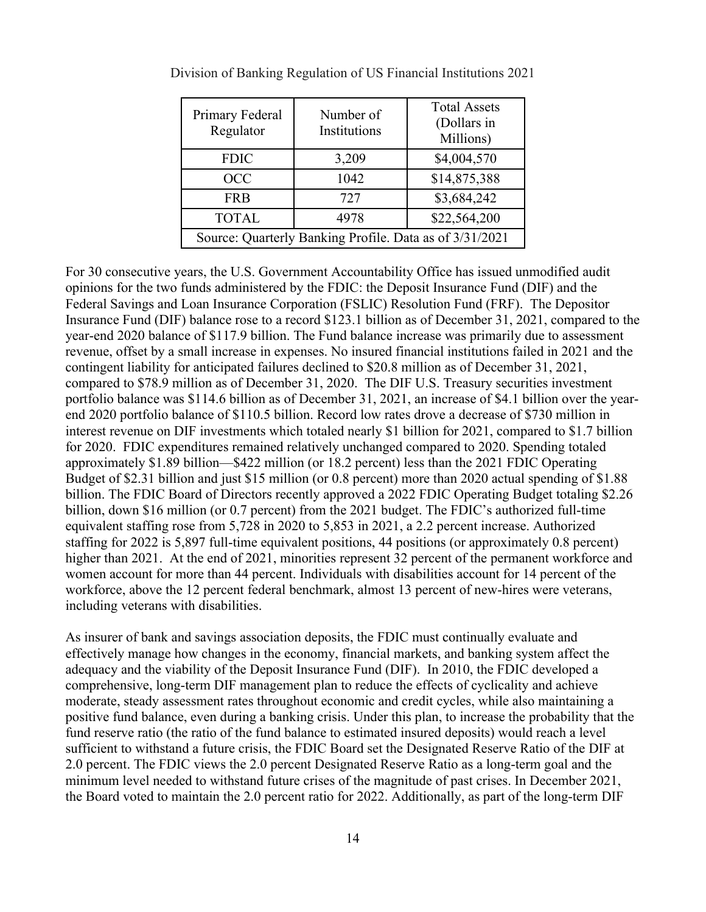| Primary Federal<br>Regulator                            | Number of<br>Institutions | <b>Total Assets</b><br>(Dollars in<br>Millions) |  |  |  |
|---------------------------------------------------------|---------------------------|-------------------------------------------------|--|--|--|
| <b>FDIC</b>                                             | 3,209                     | \$4,004,570                                     |  |  |  |
| <b>OCC</b>                                              | 1042                      | \$14,875,388                                    |  |  |  |
| <b>FRB</b>                                              | 727                       | \$3,684,242                                     |  |  |  |
| <b>TOTAL</b>                                            | 4978                      | \$22,564,200                                    |  |  |  |
| Source: Quarterly Banking Profile. Data as of 3/31/2021 |                           |                                                 |  |  |  |

<span id="page-13-0"></span>Division of Banking Regulation of US Financial Institutions 2021

For 30 consecutive years, the U.S. Government Accountability Office has issued unmodified audit opinions for the two funds administered by the FDIC: the Deposit Insurance Fund (DIF) and the Federal Savings and Loan Insurance Corporation (FSLIC) Resolution Fund (FRF). The Depositor Insurance Fund (DIF) balance rose to a record \$123.1 billion as of December 31, 2021, compared to the year-end 2020 balance of \$117.9 billion. The Fund balance increase was primarily due to assessment revenue, offset by a small increase in expenses. No insured financial institutions failed in 2021 and the contingent liability for anticipated failures declined to \$20.8 million as of December 31, 2021, compared to \$78.9 million as of December 31, 2020. The DIF U.S. Treasury securities investment portfolio balance was \$114.6 billion as of December 31, 2021, an increase of \$4.1 billion over the yearend 2020 portfolio balance of \$110.5 billion. Record low rates drove a decrease of \$730 million in interest revenue on DIF investments which totaled nearly \$1 billion for 2021, compared to \$1.7 billion for 2020. FDIC expenditures remained relatively unchanged compared to 2020. Spending totaled approximately \$1.89 billion—\$422 million (or 18.2 percent) less than the 2021 FDIC Operating Budget of \$2.31 billion and just \$15 million (or 0.8 percent) more than 2020 actual spending of \$1.88 billion. The FDIC Board of Directors recently approved a 2022 FDIC Operating Budget totaling \$2.26 billion, down \$16 million (or 0.7 percent) from the 2021 budget. The FDIC's authorized full-time equivalent staffing rose from 5,728 in 2020 to 5,853 in 2021, a 2.2 percent increase. Authorized staffing for 2022 is 5,897 full-time equivalent positions, 44 positions (or approximately 0.8 percent) higher than 2021. At the end of 2021, minorities represent 32 percent of the permanent workforce and women account for more than 44 percent. Individuals with disabilities account for 14 percent of the workforce, above the 12 percent federal benchmark, almost 13 percent of new-hires were veterans, including veterans with disabilities.

As insurer of bank and savings association deposits, the FDIC must continually evaluate and effectively manage how changes in the economy, financial markets, and banking system affect the adequacy and the viability of the Deposit Insurance Fund (DIF). In 2010, the FDIC developed a comprehensive, long-term DIF management plan to reduce the effects of cyclicality and achieve moderate, steady assessment rates throughout economic and credit cycles, while also maintaining a positive fund balance, even during a banking crisis. Under this plan, to increase the probability that the fund reserve ratio (the ratio of the fund balance to estimated insured deposits) would reach a level sufficient to withstand a future crisis, the FDIC Board set the Designated Reserve Ratio of the DIF at 2.0 percent. The FDIC views the 2.0 percent Designated Reserve Ratio as a long-term goal and the minimum level needed to withstand future crises of the magnitude of past crises. In December 2021, the Board voted to maintain the 2.0 percent ratio for 2022. Additionally, as part of the long-term DIF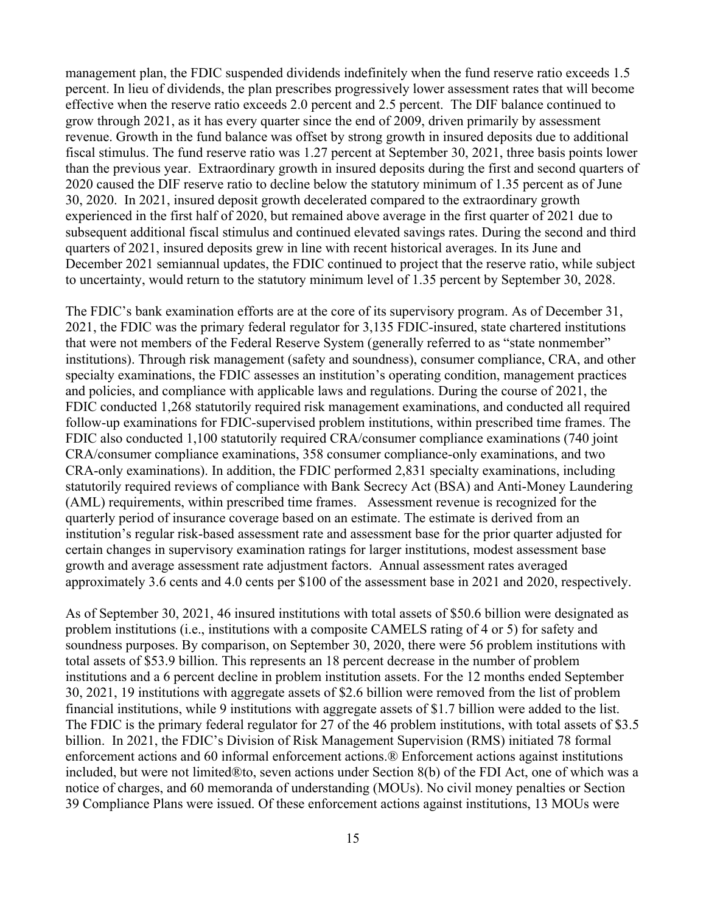management plan, the FDIC suspended dividends indefinitely when the fund reserve ratio exceeds 1.5 percent. In lieu of dividends, the plan prescribes progressively lower assessment rates that will become effective when the reserve ratio exceeds 2.0 percent and 2.5 percent. The DIF balance continued to grow through 2021, as it has every quarter since the end of 2009, driven primarily by assessment revenue. Growth in the fund balance was offset by strong growth in insured deposits due to additional fiscal stimulus. The fund reserve ratio was 1.27 percent at September 30, 2021, three basis points lower than the previous year. Extraordinary growth in insured deposits during the first and second quarters of 2020 caused the DIF reserve ratio to decline below the statutory minimum of 1.35 percent as of June 30, 2020. In 2021, insured deposit growth decelerated compared to the extraordinary growth experienced in the first half of 2020, but remained above average in the first quarter of 2021 due to subsequent additional fiscal stimulus and continued elevated savings rates. During the second and third quarters of 2021, insured deposits grew in line with recent historical averages. In its June and December 2021 semiannual updates, the FDIC continued to project that the reserve ratio, while subject to uncertainty, would return to the statutory minimum level of 1.35 percent by September 30, 2028.

The FDIC's bank examination efforts are at the core of its supervisory program. As of December 31, 2021, the FDIC was the primary federal regulator for 3,135 FDIC-insured, state chartered institutions that were not members of the Federal Reserve System (generally referred to as "state nonmember" institutions). Through risk management (safety and soundness), consumer compliance, CRA, and other specialty examinations, the FDIC assesses an institution's operating condition, management practices and policies, and compliance with applicable laws and regulations. During the course of 2021, the FDIC conducted 1,268 statutorily required risk management examinations, and conducted all required follow-up examinations for FDIC-supervised problem institutions, within prescribed time frames. The FDIC also conducted 1,100 statutorily required CRA/consumer compliance examinations (740 joint CRA/consumer compliance examinations, 358 consumer compliance-only examinations, and two CRA-only examinations). In addition, the FDIC performed 2,831 specialty examinations, including statutorily required reviews of compliance with Bank Secrecy Act (BSA) and Anti-Money Laundering (AML) requirements, within prescribed time frames. Assessment revenue is recognized for the quarterly period of insurance coverage based on an estimate. The estimate is derived from an institution's regular risk-based assessment rate and assessment base for the prior quarter adjusted for certain changes in supervisory examination ratings for larger institutions, modest assessment base growth and average assessment rate adjustment factors. Annual assessment rates averaged approximately 3.6 cents and 4.0 cents per \$100 of the assessment base in 2021 and 2020, respectively.

As of September 30, 2021, 46 insured institutions with total assets of \$50.6 billion were designated as problem institutions (i.e., institutions with a composite CAMELS rating of 4 or 5) for safety and soundness purposes. By comparison, on September 30, 2020, there were 56 problem institutions with total assets of \$53.9 billion. This represents an 18 percent decrease in the number of problem institutions and a 6 percent decline in problem institution assets. For the 12 months ended September 30, 2021, 19 institutions with aggregate assets of \$2.6 billion were removed from the list of problem financial institutions, while 9 institutions with aggregate assets of \$1.7 billion were added to the list. The FDIC is the primary federal regulator for 27 of the 46 problem institutions, with total assets of \$3.5 billion. In 2021, the FDIC's Division of Risk Management Supervision (RMS) initiated 78 formal enforcement actions and 60 informal enforcement actions.® Enforcement actions against institutions included, but were not limited®to, seven actions under Section 8(b) of the FDI Act, one of which was a notice of charges, and 60 memoranda of understanding (MOUs). No civil money penalties or Section 39 Compliance Plans were issued. Of these enforcement actions against institutions, 13 MOUs were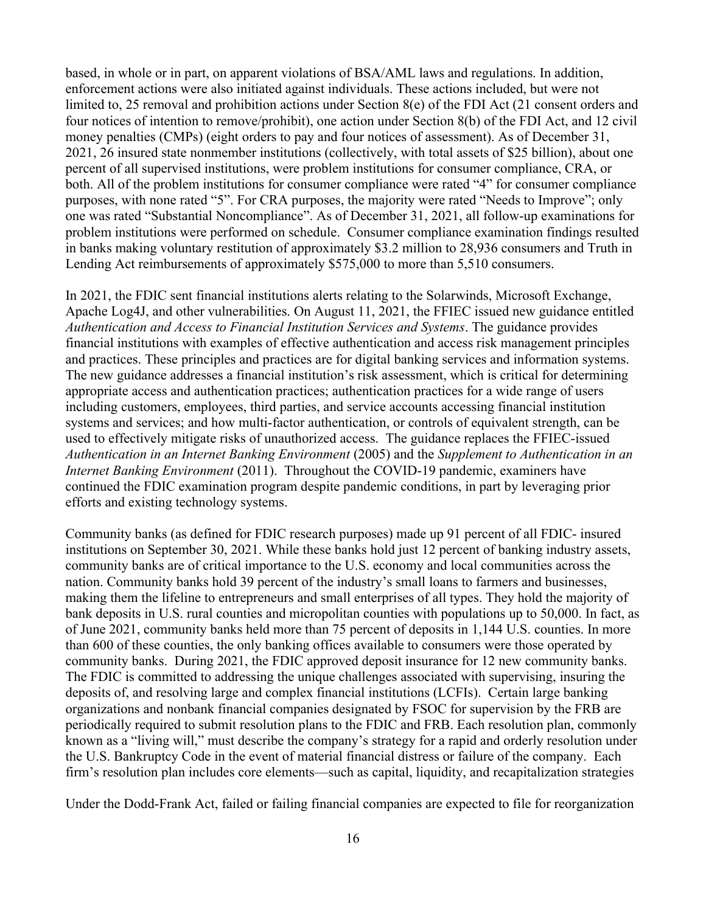based, in whole or in part, on apparent violations of BSA/AML laws and regulations. In addition, enforcement actions were also initiated against individuals. These actions included, but were not limited to, 25 removal and prohibition actions under Section 8(e) of the FDI Act (21 consent orders and four notices of intention to remove/prohibit), one action under Section 8(b) of the FDI Act, and 12 civil money penalties (CMPs) (eight orders to pay and four notices of assessment). As of December 31, 2021, 26 insured state nonmember institutions (collectively, with total assets of \$25 billion), about one percent of all supervised institutions, were problem institutions for consumer compliance, CRA, or both. All of the problem institutions for consumer compliance were rated "4" for consumer compliance purposes, with none rated "5". For CRA purposes, the majority were rated "Needs to Improve"; only one was rated "Substantial Noncompliance". As of December 31, 2021, all follow-up examinations for problem institutions were performed on schedule. Consumer compliance examination findings resulted in banks making voluntary restitution of approximately \$3.2 million to 28,936 consumers and Truth in Lending Act reimbursements of approximately \$575,000 to more than 5,510 consumers.

In 2021, the FDIC sent financial institutions alerts relating to the Solarwinds, Microsoft Exchange, Apache Log4J, and other vulnerabilities. On August 11, 2021, the FFIEC issued new guidance entitled *Authentication and Access to Financial Institution Services and Systems*. The guidance provides financial institutions with examples of effective authentication and access risk management principles and practices. These principles and practices are for digital banking services and information systems. The new guidance addresses a financial institution's risk assessment, which is critical for determining appropriate access and authentication practices; authentication practices for a wide range of users including customers, employees, third parties, and service accounts accessing financial institution systems and services; and how multi-factor authentication, or controls of equivalent strength, can be used to effectively mitigate risks of unauthorized access. The guidance replaces the FFIEC-issued *Authentication in an Internet Banking Environment* (2005) and the *Supplement to Authentication in an Internet Banking Environment* (2011). Throughout the COVID-19 pandemic, examiners have continued the FDIC examination program despite pandemic conditions, in part by leveraging prior efforts and existing technology systems.

Community banks (as defined for FDIC research purposes) made up 91 percent of all FDIC- insured institutions on September 30, 2021. While these banks hold just 12 percent of banking industry assets, community banks are of critical importance to the U.S. economy and local communities across the nation. Community banks hold 39 percent of the industry's small loans to farmers and businesses, making them the lifeline to entrepreneurs and small enterprises of all types. They hold the majority of bank deposits in U.S. rural counties and micropolitan counties with populations up to 50,000. In fact, as of June 2021, community banks held more than 75 percent of deposits in 1,144 U.S. counties. In more than 600 of these counties, the only banking offices available to consumers were those operated by community banks. During 2021, the FDIC approved deposit insurance for 12 new community banks. The FDIC is committed to addressing the unique challenges associated with supervising, insuring the deposits of, and resolving large and complex financial institutions (LCFIs). Certain large banking organizations and nonbank financial companies designated by FSOC for supervision by the FRB are periodically required to submit resolution plans to the FDIC and FRB. Each resolution plan, commonly known as a "living will," must describe the company's strategy for a rapid and orderly resolution under the U.S. Bankruptcy Code in the event of material financial distress or failure of the company. Each firm's resolution plan includes core elements—such as capital, liquidity, and recapitalization strategies

Under the Dodd-Frank Act, failed or failing financial companies are expected to file for reorganization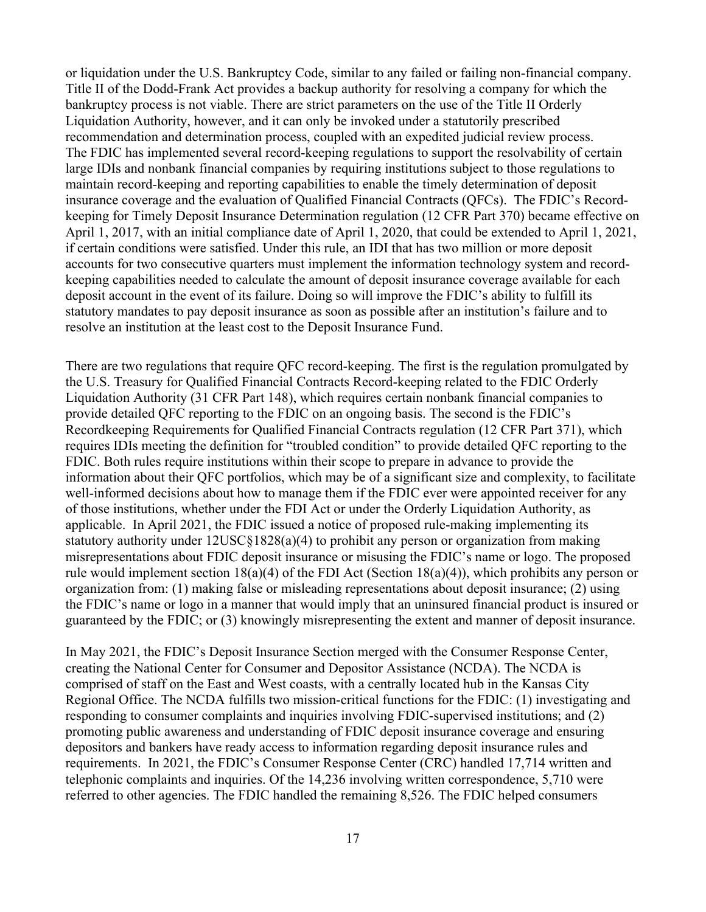or liquidation under the U.S. Bankruptcy Code, similar to any failed or failing non-financial company. Title II of the Dodd-Frank Act provides a backup authority for resolving a company for which the bankruptcy process is not viable. There are strict parameters on the use of the Title II Orderly Liquidation Authority, however, and it can only be invoked under a statutorily prescribed recommendation and determination process, coupled with an expedited judicial review process. The FDIC has implemented several record-keeping regulations to support the resolvability of certain large IDIs and nonbank financial companies by requiring institutions subject to those regulations to maintain record-keeping and reporting capabilities to enable the timely determination of deposit insurance coverage and the evaluation of Qualified Financial Contracts (QFCs). The FDIC's Recordkeeping for Timely Deposit Insurance Determination regulation (12 CFR Part 370) became effective on April 1, 2017, with an initial compliance date of April 1, 2020, that could be extended to April 1, 2021, if certain conditions were satisfied. Under this rule, an IDI that has two million or more deposit accounts for two consecutive quarters must implement the information technology system and recordkeeping capabilities needed to calculate the amount of deposit insurance coverage available for each deposit account in the event of its failure. Doing so will improve the FDIC's ability to fulfill its statutory mandates to pay deposit insurance as soon as possible after an institution's failure and to resolve an institution at the least cost to the Deposit Insurance Fund.

There are two regulations that require QFC record-keeping. The first is the regulation promulgated by the U.S. Treasury for Qualified Financial Contracts Record-keeping related to the FDIC Orderly Liquidation Authority (31 CFR Part 148), which requires certain nonbank financial companies to provide detailed QFC reporting to the FDIC on an ongoing basis. The second is the FDIC's Recordkeeping Requirements for Qualified Financial Contracts regulation (12 CFR Part 371), which requires IDIs meeting the definition for "troubled condition" to provide detailed QFC reporting to the FDIC. Both rules require institutions within their scope to prepare in advance to provide the information about their QFC portfolios, which may be of a significant size and complexity, to facilitate well-informed decisions about how to manage them if the FDIC ever were appointed receiver for any of those institutions, whether under the FDI Act or under the Orderly Liquidation Authority, as applicable. In April 2021, the FDIC issued a notice of proposed rule-making implementing its statutory authority under 12USC§1828(a)(4) to prohibit any person or organization from making misrepresentations about FDIC deposit insurance or misusing the FDIC's name or logo. The proposed rule would implement section 18(a)(4) of the FDI Act (Section 18(a)(4)), which prohibits any person or organization from: (1) making false or misleading representations about deposit insurance; (2) using the FDIC's name or logo in a manner that would imply that an uninsured financial product is insured or guaranteed by the FDIC; or (3) knowingly misrepresenting the extent and manner of deposit insurance.

In May 2021, the FDIC's Deposit Insurance Section merged with the Consumer Response Center, creating the National Center for Consumer and Depositor Assistance (NCDA). The NCDA is comprised of staff on the East and West coasts, with a centrally located hub in the Kansas City Regional Office. The NCDA fulfills two mission-critical functions for the FDIC: (1) investigating and responding to consumer complaints and inquiries involving FDIC-supervised institutions; and (2) promoting public awareness and understanding of FDIC deposit insurance coverage and ensuring depositors and bankers have ready access to information regarding deposit insurance rules and requirements. In 2021, the FDIC's Consumer Response Center (CRC) handled 17,714 written and telephonic complaints and inquiries. Of the 14,236 involving written correspondence, 5,710 were referred to other agencies. The FDIC handled the remaining 8,526. The FDIC helped consumers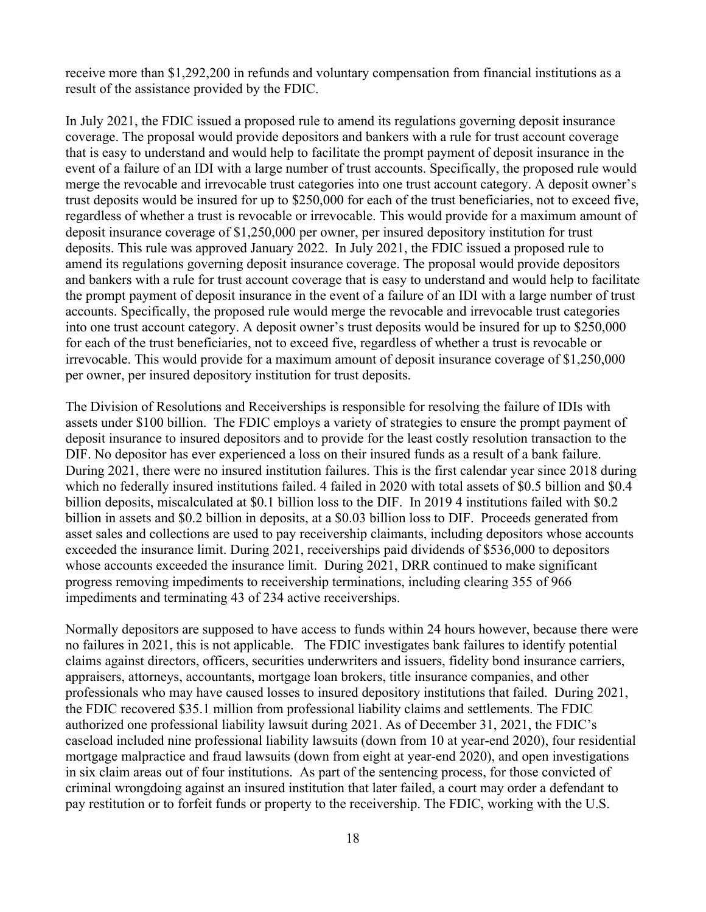receive more than \$1,292,200 in refunds and voluntary compensation from financial institutions as a result of the assistance provided by the FDIC.

In July 2021, the FDIC issued a proposed rule to amend its regulations governing deposit insurance coverage. The proposal would provide depositors and bankers with a rule for trust account coverage that is easy to understand and would help to facilitate the prompt payment of deposit insurance in the event of a failure of an IDI with a large number of trust accounts. Specifically, the proposed rule would merge the revocable and irrevocable trust categories into one trust account category. A deposit owner's trust deposits would be insured for up to \$250,000 for each of the trust beneficiaries, not to exceed five, regardless of whether a trust is revocable or irrevocable. This would provide for a maximum amount of deposit insurance coverage of \$1,250,000 per owner, per insured depository institution for trust deposits. This rule was approved January 2022. In July 2021, the FDIC issued a proposed rule to amend its regulations governing deposit insurance coverage. The proposal would provide depositors and bankers with a rule for trust account coverage that is easy to understand and would help to facilitate the prompt payment of deposit insurance in the event of a failure of an IDI with a large number of trust accounts. Specifically, the proposed rule would merge the revocable and irrevocable trust categories into one trust account category. A deposit owner's trust deposits would be insured for up to \$250,000 for each of the trust beneficiaries, not to exceed five, regardless of whether a trust is revocable or irrevocable. This would provide for a maximum amount of deposit insurance coverage of \$1,250,000 per owner, per insured depository institution for trust deposits.

The Division of Resolutions and Receiverships is responsible for resolving the failure of IDIs with assets under \$100 billion. The FDIC employs a variety of strategies to ensure the prompt payment of deposit insurance to insured depositors and to provide for the least costly resolution transaction to the DIF. No depositor has ever experienced a loss on their insured funds as a result of a bank failure. During 2021, there were no insured institution failures. This is the first calendar year since 2018 during which no federally insured institutions failed. 4 failed in 2020 with total assets of \$0.5 billion and \$0.4 billion deposits, miscalculated at \$0.1 billion loss to the DIF. In 2019 4 institutions failed with \$0.2 billion in assets and \$0.2 billion in deposits, at a \$0.03 billion loss to DIF. Proceeds generated from asset sales and collections are used to pay receivership claimants, including depositors whose accounts exceeded the insurance limit. During 2021, receiverships paid dividends of \$536,000 to depositors whose accounts exceeded the insurance limit. During 2021, DRR continued to make significant progress removing impediments to receivership terminations, including clearing 355 of 966 impediments and terminating 43 of 234 active receiverships.

Normally depositors are supposed to have access to funds within 24 hours however, because there were no failures in 2021, this is not applicable. The FDIC investigates bank failures to identify potential claims against directors, officers, securities underwriters and issuers, fidelity bond insurance carriers, appraisers, attorneys, accountants, mortgage loan brokers, title insurance companies, and other professionals who may have caused losses to insured depository institutions that failed. During 2021, the FDIC recovered \$35.1 million from professional liability claims and settlements. The FDIC authorized one professional liability lawsuit during 2021. As of December 31, 2021, the FDIC's caseload included nine professional liability lawsuits (down from 10 at year-end 2020), four residential mortgage malpractice and fraud lawsuits (down from eight at year-end 2020), and open investigations in six claim areas out of four institutions. As part of the sentencing process, for those convicted of criminal wrongdoing against an insured institution that later failed, a court may order a defendant to pay restitution or to forfeit funds or property to the receivership. The FDIC, working with the U.S.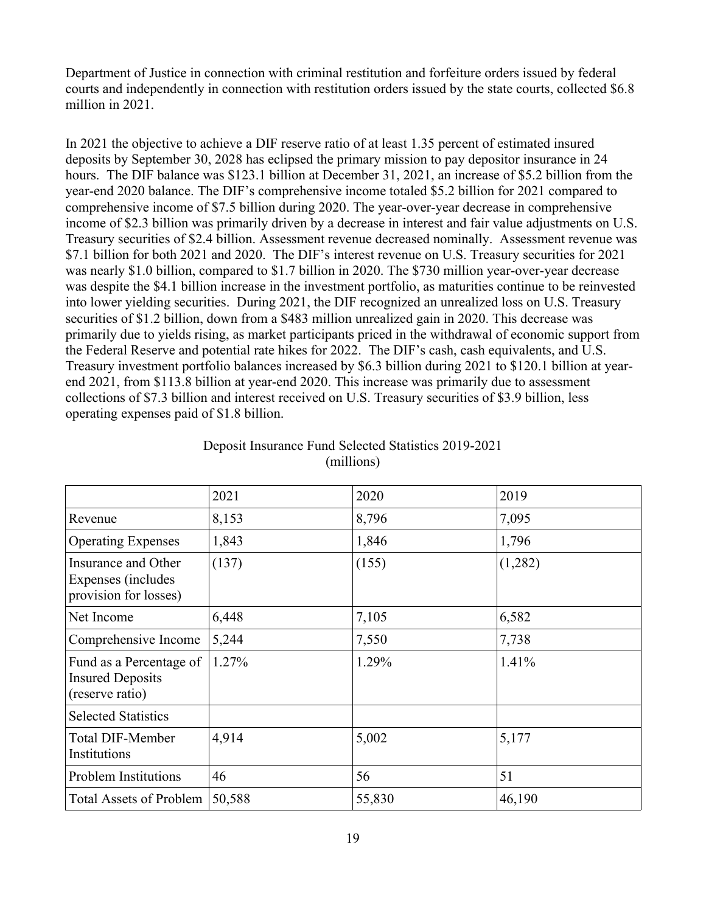Department of Justice in connection with criminal restitution and forfeiture orders issued by federal courts and independently in connection with restitution orders issued by the state courts, collected \$6.8 million in 2021.

In 2021 the objective to achieve a DIF reserve ratio of at least 1.35 percent of estimated insured deposits by September 30, 2028 has eclipsed the primary mission to pay depositor insurance in 24 hours. The DIF balance was \$123.1 billion at December 31, 2021, an increase of \$5.2 billion from the year-end 2020 balance. The DIF's comprehensive income totaled \$5.2 billion for 2021 compared to comprehensive income of \$7.5 billion during 2020. The year-over-year decrease in comprehensive income of \$2.3 billion was primarily driven by a decrease in interest and fair value adjustments on U.S. Treasury securities of \$2.4 billion. Assessment revenue decreased nominally. Assessment revenue was \$7.1 billion for both 2021 and 2020. The DIF's interest revenue on U.S. Treasury securities for 2021 was nearly \$1.0 billion, compared to \$1.7 billion in 2020. The \$730 million year-over-year decrease was despite the \$4.1 billion increase in the investment portfolio, as maturities continue to be reinvested into lower yielding securities. During 2021, the DIF recognized an unrealized loss on U.S. Treasury securities of \$1.2 billion, down from a \$483 million unrealized gain in 2020. This decrease was primarily due to yields rising, as market participants priced in the withdrawal of economic support from the Federal Reserve and potential rate hikes for 2022. The DIF's cash, cash equivalents, and U.S. Treasury investment portfolio balances increased by \$6.3 billion during 2021 to \$120.1 billion at yearend 2021, from \$113.8 billion at year-end 2020. This increase was primarily due to assessment collections of \$7.3 billion and interest received on U.S. Treasury securities of \$3.9 billion, less operating expenses paid of \$1.8 billion.

|                                                                       | 2021   | 2020   | 2019    |
|-----------------------------------------------------------------------|--------|--------|---------|
| Revenue                                                               | 8,153  | 8,796  | 7,095   |
| <b>Operating Expenses</b>                                             | 1,843  | 1,846  | 1,796   |
| Insurance and Other<br>Expenses (includes<br>provision for losses)    | (137)  | (155)  | (1,282) |
| Net Income                                                            | 6,448  | 7,105  | 6,582   |
| Comprehensive Income                                                  | 5,244  | 7,550  | 7,738   |
| Fund as a Percentage of<br><b>Insured Deposits</b><br>(reserve ratio) | 1.27%  | 1.29%  | 1.41%   |
| <b>Selected Statistics</b>                                            |        |        |         |
| <b>Total DIF-Member</b><br>Institutions                               | 4,914  | 5,002  | 5,177   |
| <b>Problem Institutions</b>                                           | 46     | 56     | 51      |
| <b>Total Assets of Problem</b>                                        | 50,588 | 55,830 | 46,190  |

<span id="page-18-0"></span>

| Deposit Insurance Fund Selected Statistics 2019-2021 |            |  |
|------------------------------------------------------|------------|--|
|                                                      | (millions) |  |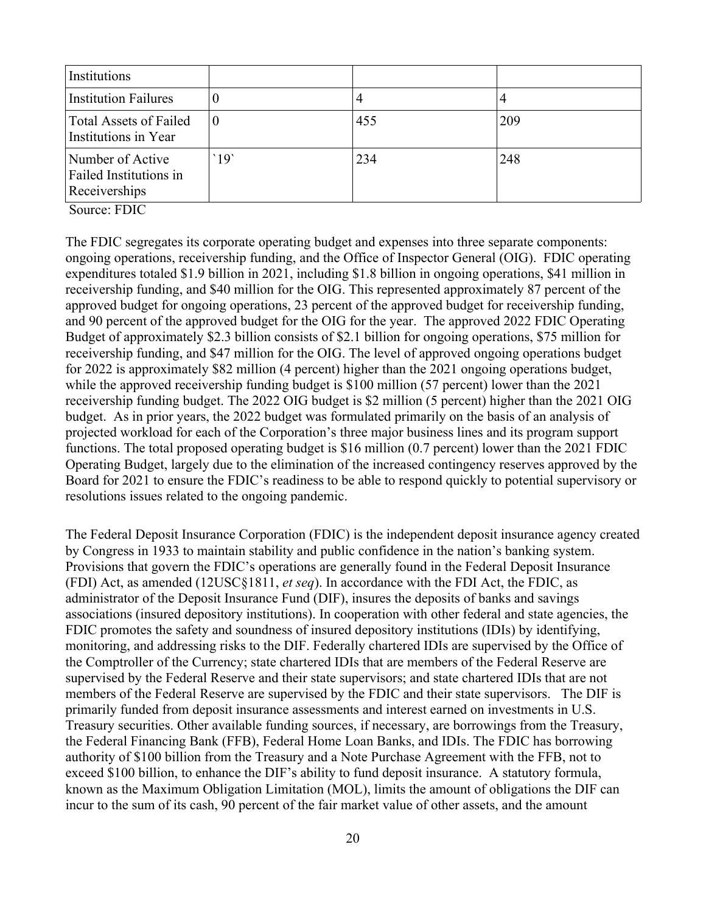| Institutions                                                |          |     |     |
|-------------------------------------------------------------|----------|-----|-----|
| <b>Institution Failures</b>                                 |          | 4   |     |
| <b>Total Assets of Failed</b><br>Institutions in Year       | $\theta$ | 455 | 209 |
| Number of Active<br>Failed Institutions in<br>Receiverships | 19       | 234 | 248 |

Source: FDIC

The FDIC segregates its corporate operating budget and expenses into three separate components: ongoing operations, receivership funding, and the Office of Inspector General (OIG). FDIC operating expenditures totaled \$1.9 billion in 2021, including \$1.8 billion in ongoing operations, \$41 million in receivership funding, and \$40 million for the OIG. This represented approximately 87 percent of the approved budget for ongoing operations, 23 percent of the approved budget for receivership funding, and 90 percent of the approved budget for the OIG for the year. The approved 2022 FDIC Operating Budget of approximately \$2.3 billion consists of \$2.1 billion for ongoing operations, \$75 million for receivership funding, and \$47 million for the OIG. The level of approved ongoing operations budget for 2022 is approximately \$82 million (4 percent) higher than the 2021 ongoing operations budget, while the approved receivership funding budget is \$100 million (57 percent) lower than the 2021 receivership funding budget. The 2022 OIG budget is \$2 million (5 percent) higher than the 2021 OIG budget. As in prior years, the 2022 budget was formulated primarily on the basis of an analysis of projected workload for each of the Corporation's three major business lines and its program support functions. The total proposed operating budget is \$16 million (0.7 percent) lower than the 2021 FDIC Operating Budget, largely due to the elimination of the increased contingency reserves approved by the Board for 2021 to ensure the FDIC's readiness to be able to respond quickly to potential supervisory or resolutions issues related to the ongoing pandemic.

The Federal Deposit Insurance Corporation (FDIC) is the independent deposit insurance agency created by Congress in 1933 to maintain stability and public confidence in the nation's banking system. Provisions that govern the FDIC's operations are generally found in the Federal Deposit Insurance (FDI) Act, as amended (12USC§1811, *et seq*). In accordance with the FDI Act, the FDIC, as administrator of the Deposit Insurance Fund (DIF), insures the deposits of banks and savings associations (insured depository institutions). In cooperation with other federal and state agencies, the FDIC promotes the safety and soundness of insured depository institutions (IDIs) by identifying, monitoring, and addressing risks to the DIF. Federally chartered IDIs are supervised by the Office of the Comptroller of the Currency; state chartered IDIs that are members of the Federal Reserve are supervised by the Federal Reserve and their state supervisors; and state chartered IDIs that are not members of the Federal Reserve are supervised by the FDIC and their state supervisors. The DIF is primarily funded from deposit insurance assessments and interest earned on investments in U.S. Treasury securities. Other available funding sources, if necessary, are borrowings from the Treasury, the Federal Financing Bank (FFB), Federal Home Loan Banks, and IDIs. The FDIC has borrowing authority of \$100 billion from the Treasury and a Note Purchase Agreement with the FFB, not to exceed \$100 billion, to enhance the DIF's ability to fund deposit insurance. A statutory formula, known as the Maximum Obligation Limitation (MOL), limits the amount of obligations the DIF can incur to the sum of its cash, 90 percent of the fair market value of other assets, and the amount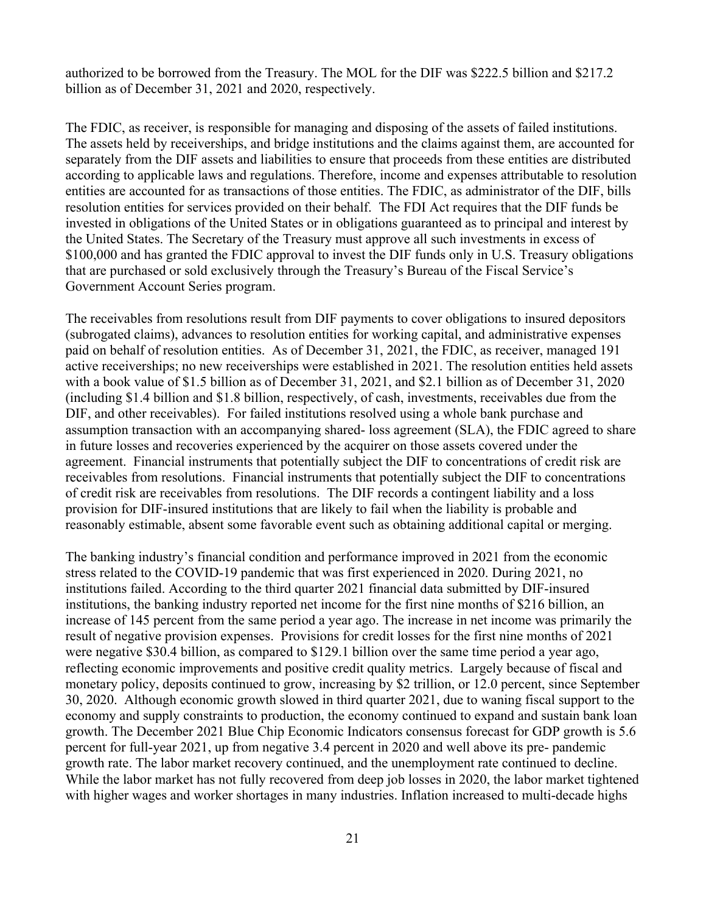authorized to be borrowed from the Treasury. The MOL for the DIF was \$222.5 billion and \$217.2 billion as of December 31, 2021 and 2020, respectively.

The FDIC, as receiver, is responsible for managing and disposing of the assets of failed institutions. The assets held by receiverships, and bridge institutions and the claims against them, are accounted for separately from the DIF assets and liabilities to ensure that proceeds from these entities are distributed according to applicable laws and regulations. Therefore, income and expenses attributable to resolution entities are accounted for as transactions of those entities. The FDIC, as administrator of the DIF, bills resolution entities for services provided on their behalf. The FDI Act requires that the DIF funds be invested in obligations of the United States or in obligations guaranteed as to principal and interest by the United States. The Secretary of the Treasury must approve all such investments in excess of \$100,000 and has granted the FDIC approval to invest the DIF funds only in U.S. Treasury obligations that are purchased or sold exclusively through the Treasury's Bureau of the Fiscal Service's Government Account Series program.

The receivables from resolutions result from DIF payments to cover obligations to insured depositors (subrogated claims), advances to resolution entities for working capital, and administrative expenses paid on behalf of resolution entities. As of December 31, 2021, the FDIC, as receiver, managed 191 active receiverships; no new receiverships were established in 2021. The resolution entities held assets with a book value of \$1.5 billion as of December 31, 2021, and \$2.1 billion as of December 31, 2020 (including \$1.4 billion and \$1.8 billion, respectively, of cash, investments, receivables due from the DIF, and other receivables). For failed institutions resolved using a whole bank purchase and assumption transaction with an accompanying shared- loss agreement (SLA), the FDIC agreed to share in future losses and recoveries experienced by the acquirer on those assets covered under the agreement. Financial instruments that potentially subject the DIF to concentrations of credit risk are receivables from resolutions. Financial instruments that potentially subject the DIF to concentrations of credit risk are receivables from resolutions. The DIF records a contingent liability and a loss provision for DIF-insured institutions that are likely to fail when the liability is probable and reasonably estimable, absent some favorable event such as obtaining additional capital or merging.

The banking industry's financial condition and performance improved in 2021 from the economic stress related to the COVID-19 pandemic that was first experienced in 2020. During 2021, no institutions failed. According to the third quarter 2021 financial data submitted by DIF-insured institutions, the banking industry reported net income for the first nine months of \$216 billion, an increase of 145 percent from the same period a year ago. The increase in net income was primarily the result of negative provision expenses. Provisions for credit losses for the first nine months of 2021 were negative \$30.4 billion, as compared to \$129.1 billion over the same time period a year ago, reflecting economic improvements and positive credit quality metrics. Largely because of fiscal and monetary policy, deposits continued to grow, increasing by \$2 trillion, or 12.0 percent, since September 30, 2020. Although economic growth slowed in third quarter 2021, due to waning fiscal support to the economy and supply constraints to production, the economy continued to expand and sustain bank loan growth. The December 2021 Blue Chip Economic Indicators consensus forecast for GDP growth is 5.6 percent for full-year 2021, up from negative 3.4 percent in 2020 and well above its pre- pandemic growth rate. The labor market recovery continued, and the unemployment rate continued to decline. While the labor market has not fully recovered from deep job losses in 2020, the labor market tightened with higher wages and worker shortages in many industries. Inflation increased to multi-decade highs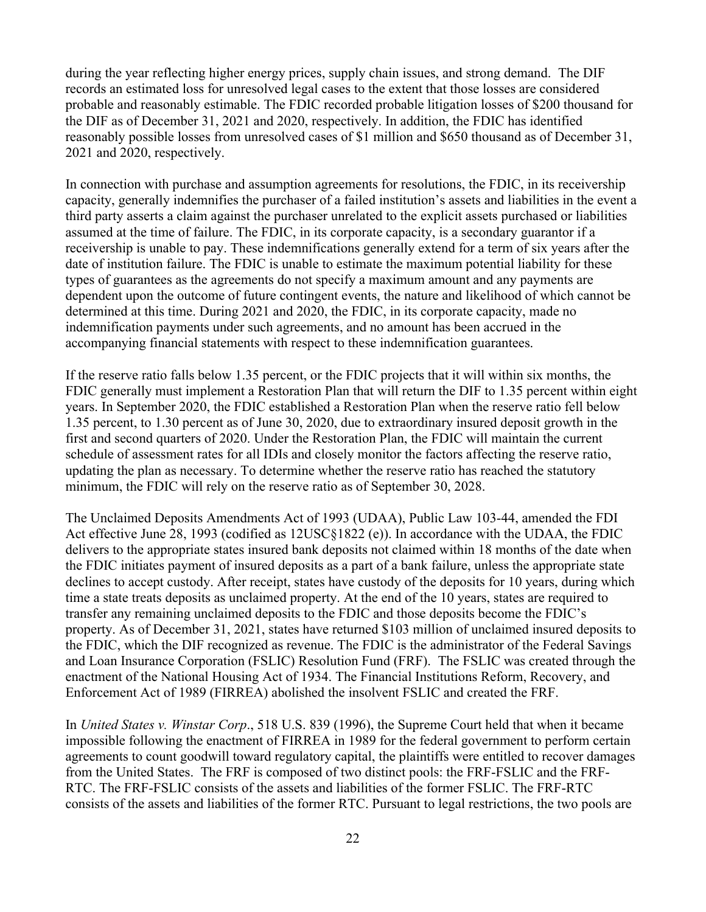during the year reflecting higher energy prices, supply chain issues, and strong demand. The DIF records an estimated loss for unresolved legal cases to the extent that those losses are considered probable and reasonably estimable. The FDIC recorded probable litigation losses of \$200 thousand for the DIF as of December 31, 2021 and 2020, respectively. In addition, the FDIC has identified reasonably possible losses from unresolved cases of \$1 million and \$650 thousand as of December 31, 2021 and 2020, respectively.

In connection with purchase and assumption agreements for resolutions, the FDIC, in its receivership capacity, generally indemnifies the purchaser of a failed institution's assets and liabilities in the event a third party asserts a claim against the purchaser unrelated to the explicit assets purchased or liabilities assumed at the time of failure. The FDIC, in its corporate capacity, is a secondary guarantor if a receivership is unable to pay. These indemnifications generally extend for a term of six years after the date of institution failure. The FDIC is unable to estimate the maximum potential liability for these types of guarantees as the agreements do not specify a maximum amount and any payments are dependent upon the outcome of future contingent events, the nature and likelihood of which cannot be determined at this time. During 2021 and 2020, the FDIC, in its corporate capacity, made no indemnification payments under such agreements, and no amount has been accrued in the accompanying financial statements with respect to these indemnification guarantees.

If the reserve ratio falls below 1.35 percent, or the FDIC projects that it will within six months, the FDIC generally must implement a Restoration Plan that will return the DIF to 1.35 percent within eight years. In September 2020, the FDIC established a Restoration Plan when the reserve ratio fell below 1.35 percent, to 1.30 percent as of June 30, 2020, due to extraordinary insured deposit growth in the first and second quarters of 2020. Under the Restoration Plan, the FDIC will maintain the current schedule of assessment rates for all IDIs and closely monitor the factors affecting the reserve ratio, updating the plan as necessary. To determine whether the reserve ratio has reached the statutory minimum, the FDIC will rely on the reserve ratio as of September 30, 2028.

The Unclaimed Deposits Amendments Act of 1993 (UDAA), Public Law 103-44, amended the FDI Act effective June 28, 1993 (codified as 12USC§1822 (e)). In accordance with the UDAA, the FDIC delivers to the appropriate states insured bank deposits not claimed within 18 months of the date when the FDIC initiates payment of insured deposits as a part of a bank failure, unless the appropriate state declines to accept custody. After receipt, states have custody of the deposits for 10 years, during which time a state treats deposits as unclaimed property. At the end of the 10 years, states are required to transfer any remaining unclaimed deposits to the FDIC and those deposits become the FDIC's property. As of December 31, 2021, states have returned \$103 million of unclaimed insured deposits to the FDIC, which the DIF recognized as revenue. The FDIC is the administrator of the Federal Savings and Loan Insurance Corporation (FSLIC) Resolution Fund (FRF). The FSLIC was created through the enactment of the National Housing Act of 1934. The Financial Institutions Reform, Recovery, and Enforcement Act of 1989 (FIRREA) abolished the insolvent FSLIC and created the FRF.

In *United States v. Winstar Corp*., 518 U.S. 839 (1996), the Supreme Court held that when it became impossible following the enactment of FIRREA in 1989 for the federal government to perform certain agreements to count goodwill toward regulatory capital, the plaintiffs were entitled to recover damages from the United States. The FRF is composed of two distinct pools: the FRF-FSLIC and the FRF-RTC. The FRF-FSLIC consists of the assets and liabilities of the former FSLIC. The FRF-RTC consists of the assets and liabilities of the former RTC. Pursuant to legal restrictions, the two pools are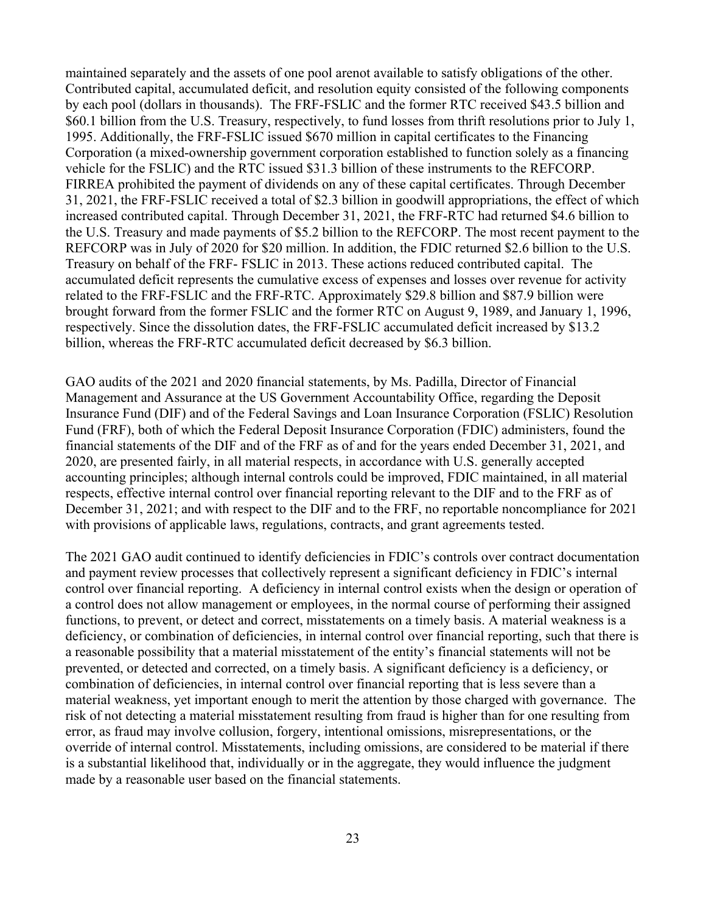maintained separately and the assets of one pool arenot available to satisfy obligations of the other. Contributed capital, accumulated deficit, and resolution equity consisted of the following components by each pool (dollars in thousands). The FRF-FSLIC and the former RTC received \$43.5 billion and \$60.1 billion from the U.S. Treasury, respectively, to fund losses from thrift resolutions prior to July 1, 1995. Additionally, the FRF-FSLIC issued \$670 million in capital certificates to the Financing Corporation (a mixed-ownership government corporation established to function solely as a financing vehicle for the FSLIC) and the RTC issued \$31.3 billion of these instruments to the REFCORP. FIRREA prohibited the payment of dividends on any of these capital certificates. Through December 31, 2021, the FRF-FSLIC received a total of \$2.3 billion in goodwill appropriations, the effect of which increased contributed capital. Through December 31, 2021, the FRF-RTC had returned \$4.6 billion to the U.S. Treasury and made payments of \$5.2 billion to the REFCORP. The most recent payment to the REFCORP was in July of 2020 for \$20 million. In addition, the FDIC returned \$2.6 billion to the U.S. Treasury on behalf of the FRF- FSLIC in 2013. These actions reduced contributed capital. The accumulated deficit represents the cumulative excess of expenses and losses over revenue for activity related to the FRF-FSLIC and the FRF-RTC. Approximately \$29.8 billion and \$87.9 billion were brought forward from the former FSLIC and the former RTC on August 9, 1989, and January 1, 1996, respectively. Since the dissolution dates, the FRF-FSLIC accumulated deficit increased by \$13.2 billion, whereas the FRF-RTC accumulated deficit decreased by \$6.3 billion.

GAO audits of the 2021 and 2020 financial statements, by Ms. Padilla, Director of Financial Management and Assurance at the US Government Accountability Office, regarding the Deposit Insurance Fund (DIF) and of the Federal Savings and Loan Insurance Corporation (FSLIC) Resolution Fund (FRF), both of which the Federal Deposit Insurance Corporation (FDIC) administers, found the financial statements of the DIF and of the FRF as of and for the years ended December 31, 2021, and 2020, are presented fairly, in all material respects, in accordance with U.S. generally accepted accounting principles; although internal controls could be improved, FDIC maintained, in all material respects, effective internal control over financial reporting relevant to the DIF and to the FRF as of December 31, 2021; and with respect to the DIF and to the FRF, no reportable noncompliance for 2021 with provisions of applicable laws, regulations, contracts, and grant agreements tested.

The 2021 GAO audit continued to identify deficiencies in FDIC's controls over contract documentation and payment review processes that collectively represent a significant deficiency in FDIC's internal control over financial reporting. A deficiency in internal control exists when the design or operation of a control does not allow management or employees, in the normal course of performing their assigned functions, to prevent, or detect and correct, misstatements on a timely basis. A material weakness is a deficiency, or combination of deficiencies, in internal control over financial reporting, such that there is a reasonable possibility that a material misstatement of the entity's financial statements will not be prevented, or detected and corrected, on a timely basis. A significant deficiency is a deficiency, or combination of deficiencies, in internal control over financial reporting that is less severe than a material weakness, yet important enough to merit the attention by those charged with governance. The risk of not detecting a material misstatement resulting from fraud is higher than for one resulting from error, as fraud may involve collusion, forgery, intentional omissions, misrepresentations, or the override of internal control. Misstatements, including omissions, are considered to be material if there is a substantial likelihood that, individually or in the aggregate, they would influence the judgment made by a reasonable user based on the financial statements.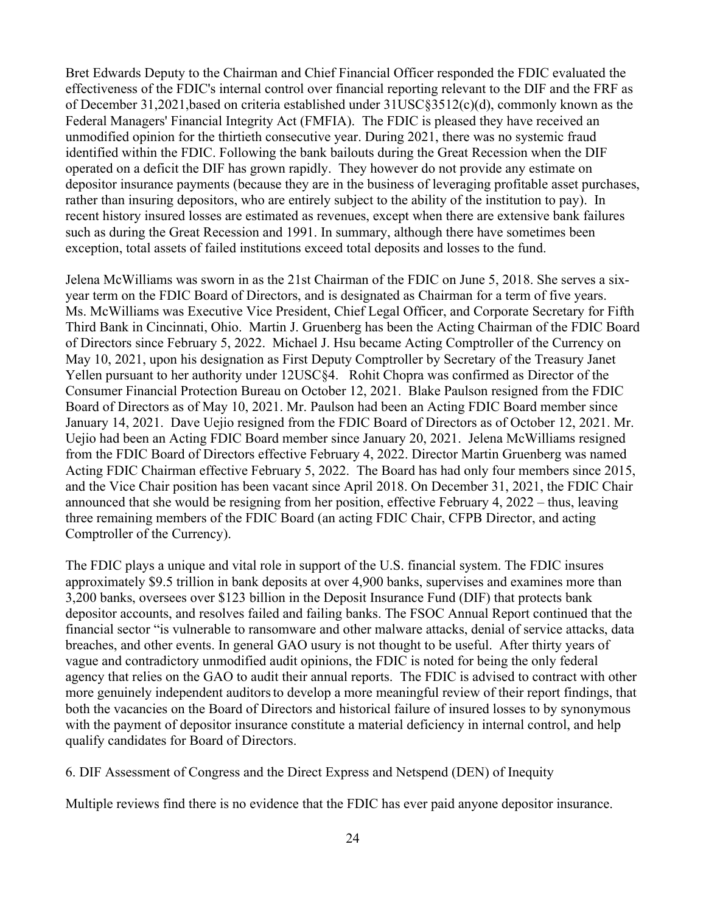Bret Edwards Deputy to the Chairman and Chief Financial Officer responded the FDIC evaluated the effectiveness of the FDIC's internal control over financial reporting relevant to the DIF and the FRF as of December 31,2021,based on criteria established under 31USC§3512(c)(d), commonly known as the Federal Managers' Financial Integrity Act (FMFIA). The FDIC is pleased they have received an unmodified opinion for the thirtieth consecutive year. During 2021, there was no systemic fraud identified within the FDIC. Following the bank bailouts during the Great Recession when the DIF operated on a deficit the DIF has grown rapidly. They however do not provide any estimate on depositor insurance payments (because they are in the business of leveraging profitable asset purchases, rather than insuring depositors, who are entirely subject to the ability of the institution to pay). In recent history insured losses are estimated as revenues, except when there are extensive bank failures such as during the Great Recession and 1991. In summary, although there have sometimes been exception, total assets of failed institutions exceed total deposits and losses to the fund.

Jelena McWilliams was sworn in as the 21st Chairman of the FDIC on June 5, 2018. She serves a sixyear term on the FDIC Board of Directors, and is designated as Chairman for a term of five years. Ms. McWilliams was Executive Vice President, Chief Legal Officer, and Corporate Secretary for Fifth Third Bank in Cincinnati, Ohio. Martin J. Gruenberg has been the Acting Chairman of the FDIC Board of Directors since February 5, 2022. Michael J. Hsu became Acting Comptroller of the Currency on May 10, 2021, upon his designation as First Deputy Comptroller by Secretary of the Treasury Janet Yellen pursuant to her authority under 12USC§4. Rohit Chopra was confirmed as Director of the Consumer Financial Protection Bureau on October 12, 2021. Blake Paulson resigned from the FDIC Board of Directors as of May 10, 2021. Mr. Paulson had been an Acting FDIC Board member since January 14, 2021. Dave Uejio resigned from the FDIC Board of Directors as of October 12, 2021. Mr. Uejio had been an Acting FDIC Board member since January 20, 2021. Jelena McWilliams resigned from the FDIC Board of Directors effective February 4, 2022. Director Martin Gruenberg was named Acting FDIC Chairman effective February 5, 2022. The Board has had only four members since 2015, and the Vice Chair position has been vacant since April 2018. On December 31, 2021, the FDIC Chair announced that she would be resigning from her position, effective February 4, 2022 – thus, leaving three remaining members of the FDIC Board (an acting FDIC Chair, CFPB Director, and acting Comptroller of the Currency).

The FDIC plays a unique and vital role in support of the U.S. financial system. The FDIC insures approximately \$9.5 trillion in bank deposits at over 4,900 banks, supervises and examines more than 3,200 banks, oversees over \$123 billion in the Deposit Insurance Fund (DIF) that protects bank depositor accounts, and resolves failed and failing banks. The FSOC Annual Report continued that the financial sector "is vulnerable to ransomware and other malware attacks, denial of service attacks, data breaches, and other events. In general GAO usury is not thought to be useful. After thirty years of vague and contradictory unmodified audit opinions, the FDIC is noted for being the only federal agency that relies on the GAO to audit their annual reports. The FDIC is advised to contract with other more genuinely independent auditors to develop a more meaningful review of their report findings, that both the vacancies on the Board of Directors and historical failure of insured losses to by synonymous with the payment of depositor insurance constitute a material deficiency in internal control, and help qualify candidates for Board of Directors.

<span id="page-23-0"></span>6. DIF Assessment of Congress and the Direct Express and Netspend (DEN) of Inequity

Multiple reviews find there is no evidence that the FDIC has ever paid anyone depositor insurance.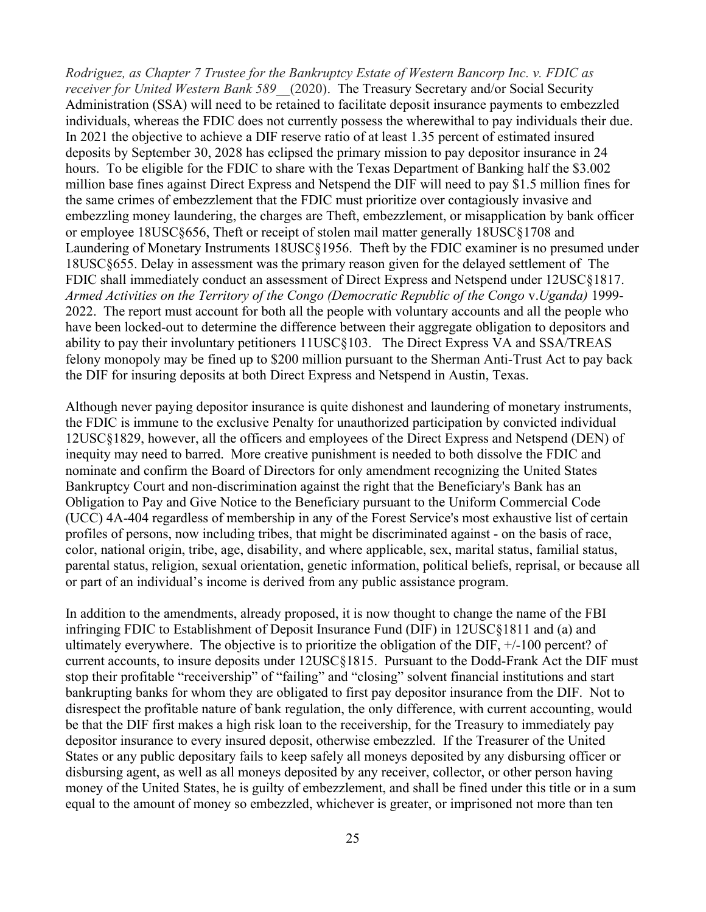*Rodriguez, as Chapter 7 Trustee for the Bankruptcy Estate of Western Bancorp Inc. v. FDIC as receiver for United Western Bank 589\_\_*(2020). The Treasury Secretary and/or Social Security Administration (SSA) will need to be retained to facilitate deposit insurance payments to embezzled individuals, whereas the FDIC does not currently possess the wherewithal to pay individuals their due. In 2021 the objective to achieve a DIF reserve ratio of at least 1.35 percent of estimated insured deposits by September 30, 2028 has eclipsed the primary mission to pay depositor insurance in 24 hours. To be eligible for the FDIC to share with the Texas Department of Banking half the \$3.002 million base fines against Direct Express and Netspend the DIF will need to pay \$1.5 million fines for the same crimes of embezzlement that the FDIC must prioritize over contagiously invasive and embezzling money laundering, the charges are Theft, embezzlement, or misapplication by bank officer or employee 18USC§656, Theft or receipt of stolen mail matter generally 18USC§1708 and Laundering of Monetary Instruments 18USC§1956. Theft by the FDIC examiner is no presumed under 18USC§655. Delay in assessment was the primary reason given for the delayed settlement of The FDIC shall immediately conduct an assessment of Direct Express and Netspend under 12USC§1817. *Armed Activities on the Territory of the Congo (Democratic Republic of the Congo* v.*Uganda)* 1999- 2022. The report must account for both all the people with voluntary accounts and all the people who have been locked-out to determine the difference between their aggregate obligation to depositors and ability to pay their involuntary petitioners 11USC§103. The Direct Express VA and SSA/TREAS felony monopoly may be fined up to \$200 million pursuant to the Sherman Anti-Trust Act to pay back the DIF for insuring deposits at both Direct Express and Netspend in Austin, Texas.

Although never paying depositor insurance is quite dishonest and laundering of monetary instruments, the FDIC is immune to the exclusive Penalty for unauthorized participation by convicted individual 12USC§1829, however, all the officers and employees of the Direct Express and Netspend (DEN) of inequity may need to barred. More creative punishment is needed to both dissolve the FDIC and nominate and confirm the Board of Directors for only amendment recognizing the United States Bankruptcy Court and non-discrimination against the right that the Beneficiary's Bank has an Obligation to Pay and Give Notice to the Beneficiary pursuant to the Uniform Commercial Code (UCC) 4A-404 regardless of membership in any of the Forest Service's most exhaustive list of certain profiles of persons, now including tribes, that might be discriminated against - on the basis of race, color, national origin, tribe, age, disability, and where applicable, sex, marital status, familial status, parental status, religion, sexual orientation, genetic information, political beliefs, reprisal, or because all or part of an individual's income is derived from any public assistance program.

In addition to the amendments, already proposed, it is now thought to change the name of the FBI infringing FDIC to Establishment of Deposit Insurance Fund (DIF) in 12USC§1811 and (a) and ultimately everywhere. The objective is to prioritize the obligation of the DIF, +/-100 percent? of current accounts, to insure deposits under 12USC§1815. Pursuant to the Dodd-Frank Act the DIF must stop their profitable "receivership" of "failing" and "closing" solvent financial institutions and start bankrupting banks for whom they are obligated to first pay depositor insurance from the DIF. Not to disrespect the profitable nature of bank regulation, the only difference, with current accounting, would be that the DIF first makes a high risk loan to the receivership, for the Treasury to immediately pay depositor insurance to every insured deposit, otherwise embezzled. If the Treasurer of the United States or any public depositary fails to keep safely all moneys deposited by any disbursing officer or disbursing agent, as well as all moneys deposited by any receiver, collector, or other person having money of the United States, he is guilty of embezzlement, and shall be fined under this title or in a sum equal to the amount of money so embezzled, whichever is greater, or imprisoned not more than ten